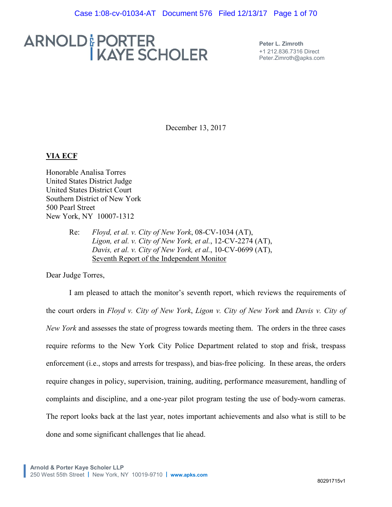# ARNOLD&PORTER<br>I KAYE SCHOLER

**Peter L. Zimroth** +1 212.836.7316 Direct Peter.Zimroth@apks.com

December 13, 2017

#### **VIA ECF**

Honorable Analisa Torres United States District Judge United States District Court Southern District of New York 500 Pearl Street New York, NY 10007-1312

> Re: *Floyd, et al. v. City of New York*, 08-CV-1034 (AT), Ligon, et al. v. City of New York, et al., 12-CV-2274 (AT), *Davis, et al. v. City of New York, et al., 10-CV-0699 (AT),* Seventh Report of the Independent Monitor

Dear Judge Torres,

I am pleased to attach the monitor's seventh report, which reviews the requirements of the court orders in *Floyd v. City of New York, Ligon v. City of New York* and *Davis v. City of New York* and assesses the state of progress towards meeting them. The orders in the three cases require reforms to the New York City Police Department related to stop and frisk, trespass enforcement (i.e., stops and arrests for trespass), and bias-free policing. In these areas, the orders require changes in policy, supervision, training, auditing, performance measurement, handling of complaints and discipline, and a one-year pilot program testing the use of body-worn cameras. The report looks back at the last year, notes important achievements and also what is still to be done and some significant challenges that lie ahead.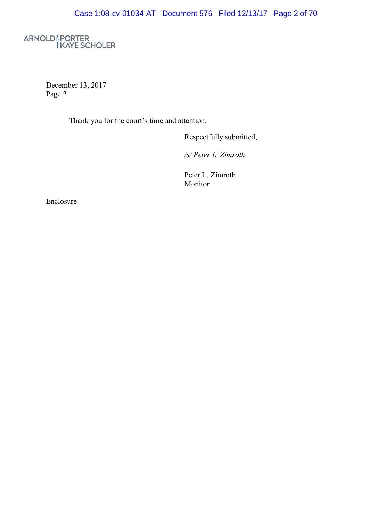ARNOLD & PORTER<br>I KAYE SCHOLER

December 13, 2017 Page 2

Thank you for the court's time and attention.

Respectfully submitted,

*/s/PeterL .Z im roth*

Peter L. Zimroth Monitor

Enclosure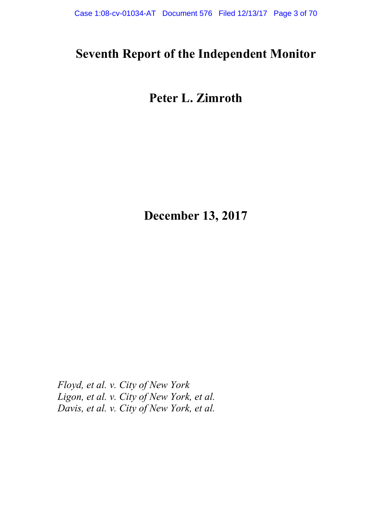## **Seventh Report of the Independent Monitor**

## **Peter L. Zimroth**

**December 13, 2017**

*Floyd, et al. v. City of New York Ligon, et al. v. City of New York, et al. Davis, et al. v. City of New York, et al.*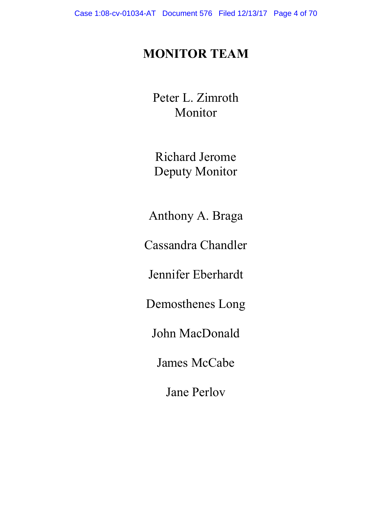## **MONITOR TEAM**

Peter L. Zimroth Monitor

Richard Jerome Deputy Monitor

Anthony A. Braga

Cassandra Chandler

Jennifer Eberhardt

Demosthenes Long

John MacDonald

James McCabe

Jane Perlov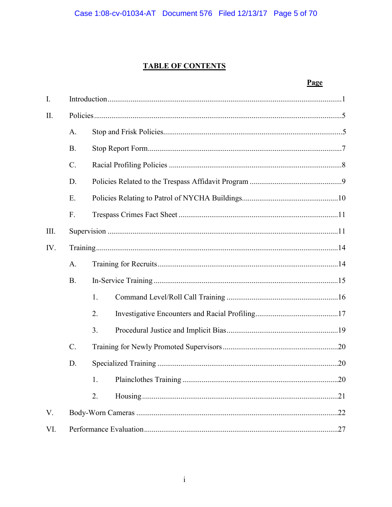## **TABLE OF CONTENTS**

|             |             |    |  | Page |  |
|-------------|-------------|----|--|------|--|
| $I_{\cdot}$ |             |    |  |      |  |
| II.         |             |    |  |      |  |
|             | A.          |    |  |      |  |
|             | <b>B.</b>   |    |  |      |  |
|             | $C$ .       |    |  |      |  |
|             | D.          |    |  |      |  |
|             | E.          |    |  |      |  |
|             | $F_{\cdot}$ |    |  |      |  |
| III.        |             |    |  |      |  |
| IV.         |             |    |  |      |  |
|             | A.          |    |  |      |  |
|             | <b>B</b> .  |    |  |      |  |
|             |             | 1. |  |      |  |
|             |             | 2. |  |      |  |
|             |             | 3. |  |      |  |
|             | $C$ .       |    |  |      |  |
|             | D.          |    |  |      |  |
|             |             | 1. |  |      |  |
|             |             | 2. |  |      |  |
| V.          |             |    |  | .22  |  |
| VI.         |             |    |  |      |  |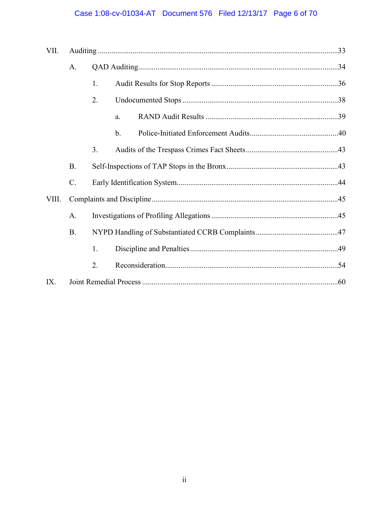## Case 1:08-cv-01034-AT Document 576 Filed 12/13/17 Page 6 of 70

| VII.  |                 |    |               |  |
|-------|-----------------|----|---------------|--|
|       | A.              |    |               |  |
|       |                 | 1. |               |  |
|       |                 | 2. |               |  |
|       |                 |    | a.            |  |
|       |                 |    | $\mathbf b$ . |  |
|       |                 | 3. |               |  |
|       | <b>B.</b>       |    |               |  |
|       | $\mathcal{C}$ . |    |               |  |
| VIII. |                 |    |               |  |
|       | $\mathbf{A}$ .  |    |               |  |
|       | <b>B</b> .      |    |               |  |
|       |                 | 1. |               |  |
|       |                 | 2. |               |  |
| IX.   |                 |    |               |  |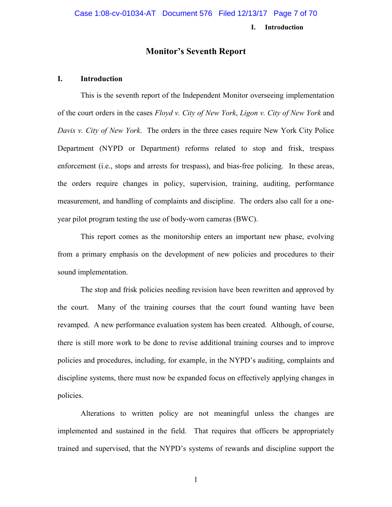#### **I. Introduction**

#### **Monitor's Seventh Report**

#### **I. Introduction**

This is the seventh report of the Independent Monitor overseeing implementation of the court orders in the cases *Floyd v. City of New York*, *Ligon v. City of New York* and *Davis v. City of New York*. The orders in the three cases require New York City Police Department (NYPD or Department) reforms related to stop and frisk, trespass enforcement (i.e., stops and arrests for trespass), and bias-free policing. In these areas, the orders require changes in policy, supervision, training, auditing, performance measurement, and handling of complaints and discipline. The orders also call for a oneyear pilot program testing the use of body-worn cameras (BWC).

This report comes as the monitorship enters an important new phase, evolving from a primary emphasis on the development of new policies and procedures to their sound implementation.

The stop and frisk policies needing revision have been rewritten and approved by the court. Many of the training courses that the court found wanting have been revamped. A new performance evaluation system has been created. Although, of course, there is still more work to be done to revise additional training courses and to improve policies and procedures, including, for example, in the NYPD's auditing, complaints and discipline systems, there must now be expanded focus on effectively applying changes in policies.

Alterations to written policy are not meaningful unless the changes are implemented and sustained in the field. That requires that officers be appropriately trained and supervised, that the NYPD's systems of rewards and discipline support the

1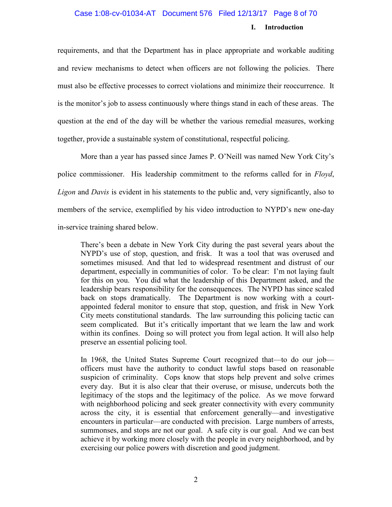#### Case 1:08-cv-01034-AT Document 576 Filed 12/13/17 Page 8 of 70

#### **I. Introduction**

requirements, and that the Department has in place appropriate and workable auditing and review mechanisms to detect when officers are not following the policies. There must also be effective processes to correct violations and minimize their reoccurrence. It is the monitor's job to assess continuously where things stand in each of these areas. The question at the end of the day will be whether the various remedial measures, working together, provide a sustainable system of constitutional, respectful policing.

More than a year has passed since James P. O'Neill was named New York City's police commissioner. His leadership commitment to the reforms called for in *Floyd*, *Ligon* and *Davis* is evident in his statements to the public and, very significantly, also to members of the service, exemplified by his video introduction to NYPD's new one-day in-service training shared below.

There's been a debate in New York City during the past several years about the NYPD's use of stop, question, and frisk. It was a tool that was overused and sometimes misused. And that led to widespread resentment and distrust of our department, especially in communities of color. To be clear: I'm not laying fault for this on you. You did what the leadership of this Department asked, and the leadership bears responsibility for the consequences. The NYPD has since scaled back on stops dramatically. The Department is now working with a courtappointed federal monitor to ensure that stop, question, and frisk in New York City meets constitutional standards. The law surrounding this policing tactic can seem complicated. But it's critically important that we learn the law and work within its confines. Doing so will protect you from legal action. It will also help preserve an essential policing tool.

In 1968, the United States Supreme Court recognized that—to do our job officers must have the authority to conduct lawful stops based on reasonable suspicion of criminality. Cops know that stops help prevent and solve crimes every day. But it is also clear that their overuse, or misuse, undercuts both the legitimacy of the stops and the legitimacy of the police. As we move forward with neighborhood policing and seek greater connectivity with every community across the city, it is essential that enforcement generally—and investigative encounters in particular—are conducted with precision. Large numbers of arrests, summonses, and stops are not our goal. A safe city is our goal. And we can best achieve it by working more closely with the people in every neighborhood, and by exercising our police powers with discretion and good judgment.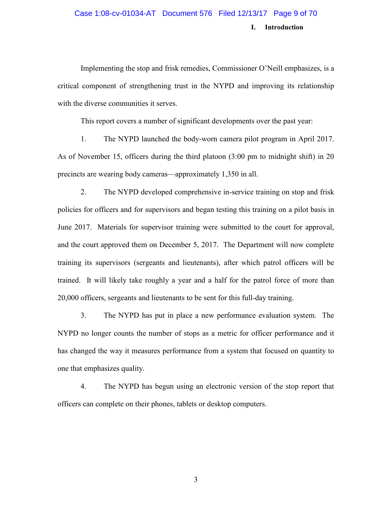## **I. Introduction** Case 1:08-cv-01034-AT Document 576 Filed 12/13/17 Page 9 of 70

Implementing the stop and frisk remedies, Commissioner O'Neill emphasizes, is a critical component of strengthening trust in the NYPD and improving its relationship with the diverse communities it serves.

This report covers a number of significant developments over the past year:

1. The NYPD launched the body-worn camera pilot program in April 2017. As of November 15, officers during the third platoon (3:00 pm to midnight shift) in 20 precincts are wearing body cameras—approximately 1,350 in all.

2. The NYPD developed comprehensive in-service training on stop and frisk policies for officers and for supervisors and began testing this training on a pilot basis in June 2017. Materials for supervisor training were submitted to the court for approval, and the court approved them on December 5, 2017. The Department will now complete training its supervisors (sergeants and lieutenants), after which patrol officers will be trained. It will likely take roughly a year and a half for the patrol force of more than 20,000 officers, sergeants and lieutenants to be sent for this full-day training.

3. The NYPD has put in place a new performance evaluation system. The NYPD no longer counts the number of stops as a metric for officer performance and it has changed the way it measures performance from a system that focused on quantity to one that emphasizes quality.

4. The NYPD has begun using an electronic version of the stop report that officers can complete on their phones, tablets or desktop computers.

3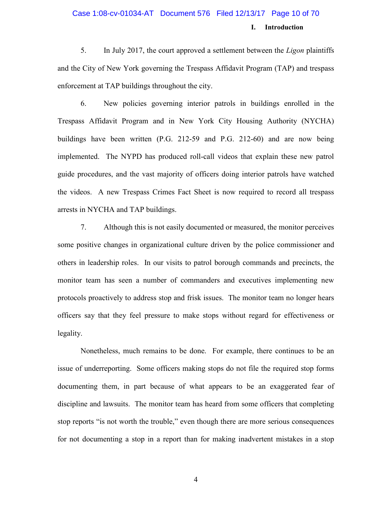## **I. Introduction** Case 1:08-cv-01034-AT Document 576 Filed 12/13/17 Page 10 of 70

5. In July 2017, the court approved a settlement between the *Ligon* plaintiffs and the City of New York governing the Trespass Affidavit Program (TAP) and trespass enforcement at TAP buildings throughout the city.

6. New policies governing interior patrols in buildings enrolled in the Trespass Affidavit Program and in New York City Housing Authority (NYCHA) buildings have been written (P.G. 212-59 and P.G. 212-60) and are now being implemented. The NYPD has produced roll-call videos that explain these new patrol guide procedures, and the vast majority of officers doing interior patrols have watched the videos. A new Trespass Crimes Fact Sheet is now required to record all trespass arrests in NYCHA and TAP buildings.

7. Although this is not easily documented or measured, the monitor perceives some positive changes in organizational culture driven by the police commissioner and others in leadership roles. In our visits to patrol borough commands and precincts, the monitor team has seen a number of commanders and executives implementing new protocols proactively to address stop and frisk issues. The monitor team no longer hears officers say that they feel pressure to make stops without regard for effectiveness or legality.

Nonetheless, much remains to be done. For example, there continues to be an issue of underreporting. Some officers making stops do not file the required stop forms documenting them, in part because of what appears to be an exaggerated fear of discipline and lawsuits. The monitor team has heard from some officers that completing stop reports "is not worth the trouble," even though there are more serious consequences for not documenting a stop in a report than for making inadvertent mistakes in a stop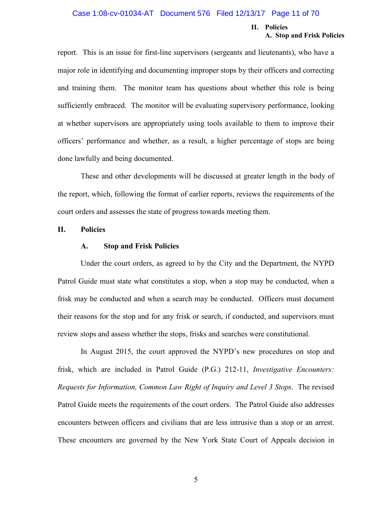#### **II. Policies A. Stop and Frisk Policies**

report. This is an issue for first-line supervisors (sergeants and lieutenants), who have a major role in identifying and documenting improper stops by their officers and correcting and training them. The monitor team has questions about whether this role is being sufficiently embraced. The monitor will be evaluating supervisory performance, looking at whether supervisors are appropriately using tools available to them to improve their officers' performance and whether, as a result, a higher percentage of stops are being done lawfully and being documented.

These and other developments will be discussed at greater length in the body of the report, which, following the format of earlier reports, reviews the requirements of the court orders and assesses the state of progress towards meeting them.

#### **II. Policies**

#### **A. Stop and Frisk Policies**

Under the court orders, as agreed to by the City and the Department, the NYPD Patrol Guide must state what constitutes a stop, when a stop may be conducted, when a frisk may be conducted and when a search may be conducted. Officers must document their reasons for the stop and for any frisk or search, if conducted, and supervisors must review stops and assess whether the stops, frisks and searches were constitutional.

In August 2015, the court approved the NYPD's new procedures on stop and frisk, which are included in Patrol Guide (P.G.) 212-11, *Investigative Encounters: Requests for Information, Common Law Right of Inquiry and Level 3 Stops*. The revised Patrol Guide meets the requirements of the court orders. The Patrol Guide also addresses encounters between officers and civilians that are less intrusive than a stop or an arrest. These encounters are governed by the New York State Court of Appeals decision in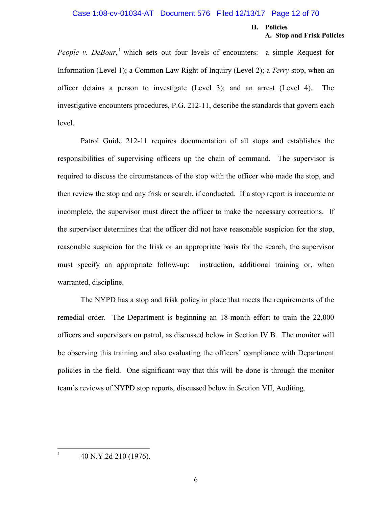#### Case 1:08-cv-01034-AT Document 576 Filed 12/13/17 Page 12 of 70

#### **II. Policies A. Stop and Frisk Policies**

*People v. DeBour*,<sup>1</sup> which sets out four levels of encounters: a simple Request for Information (Level 1); a Common Law Right of Inquiry (Level 2); a *Terry* stop, when an officer detains a person to investigate (Level 3); and an arrest (Level 4). The investigative encounters procedures, P.G. 212-11, describe the standards that govern each level.

Patrol Guide 212-11 requires documentation of all stops and establishes the responsibilities of supervising officers up the chain of command. The supervisor is required to discuss the circumstances of the stop with the officer who made the stop, and then review the stop and any frisk or search, if conducted. If a stop report is inaccurate or incomplete, the supervisor must direct the officer to make the necessary corrections. If the supervisor determines that the officer did not have reasonable suspicion for the stop, reasonable suspicion for the frisk or an appropriate basis for the search, the supervisor must specify an appropriate follow-up: instruction, additional training or, when warranted, discipline.

The NYPD has a stop and frisk policy in place that meets the requirements of the remedial order. The Department is beginning an 18-month effort to train the 22,000 officers and supervisors on patrol, as discussed below in Section IV.B. The monitor will be observing this training and also evaluating the officers' compliance with Department policies in the field. One significant way that this will be done is through the monitor team's reviews of NYPD stop reports, discussed below in Section VII, Auditing.

1 40 N.Y.2d 210 (1976).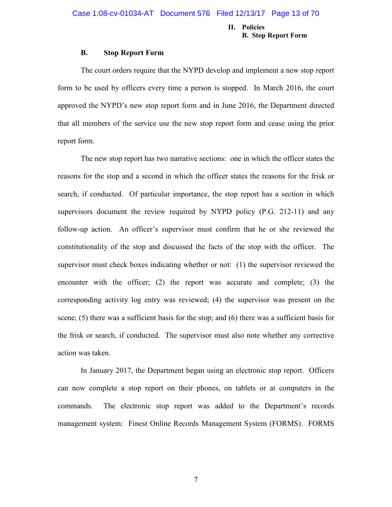#### **II. Policies B. Stop Report Form**

#### **B. Stop Report Form**

The court orders require that the NYPD develop and implement a new stop report form to be used by officers every time a person is stopped. In March 2016, the court approved the NYPD's new stop report form and in June 2016, the Department directed that all members of the service use the new stop report form and cease using the prior report form.

The new stop report has two narrative sections: one in which the officer states the reasons for the stop and a second in which the officer states the reasons for the frisk or search, if conducted. Of particular importance, the stop report has a section in which supervisors document the review required by NYPD policy (P.G. 212-11) and any follow-up action. An officer's supervisor must confirm that he or she reviewed the constitutionality of the stop and discussed the facts of the stop with the officer. The supervisor must check boxes indicating whether or not: (1) the supervisor reviewed the encounter with the officer; (2) the report was accurate and complete; (3) the corresponding activity log entry was reviewed; (4) the supervisor was present on the scene; (5) there was a sufficient basis for the stop; and (6) there was a sufficient basis for the frisk or search, if conducted. The supervisor must also note whether any corrective action was taken.

In January 2017, the Department began using an electronic stop report. Officers can now complete a stop report on their phones, on tablets or at computers in the commands. The electronic stop report was added to the Department's records management system: Finest Online Records Management System (FORMS). FORMS

7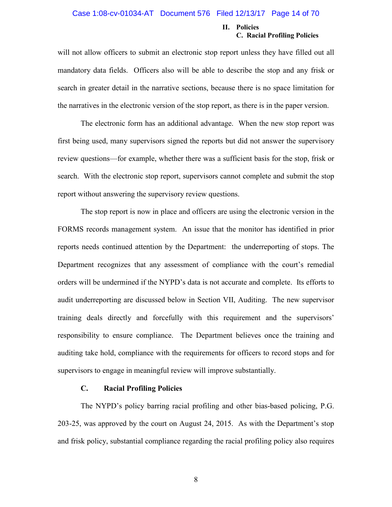#### Case 1:08-cv-01034-AT Document 576 Filed 12/13/17 Page 14 of 70

#### **II. Policies C. Racial Profiling Policies**

will not allow officers to submit an electronic stop report unless they have filled out all mandatory data fields. Officers also will be able to describe the stop and any frisk or search in greater detail in the narrative sections, because there is no space limitation for the narratives in the electronic version of the stop report, as there is in the paper version.

The electronic form has an additional advantage. When the new stop report was first being used, many supervisors signed the reports but did not answer the supervisory review questions—for example, whether there was a sufficient basis for the stop, frisk or search. With the electronic stop report, supervisors cannot complete and submit the stop report without answering the supervisory review questions.

The stop report is now in place and officers are using the electronic version in the FORMS records management system. An issue that the monitor has identified in prior reports needs continued attention by the Department: the underreporting of stops. The Department recognizes that any assessment of compliance with the court's remedial orders will be undermined if the NYPD's data is not accurate and complete. Its efforts to audit underreporting are discussed below in Section VII, Auditing. The new supervisor training deals directly and forcefully with this requirement and the supervisors' responsibility to ensure compliance. The Department believes once the training and auditing take hold, compliance with the requirements for officers to record stops and for supervisors to engage in meaningful review will improve substantially.

#### **C. Racial Profiling Policies**

The NYPD's policy barring racial profiling and other bias-based policing, P.G. 203-25, was approved by the court on August 24, 2015. As with the Department's stop and frisk policy, substantial compliance regarding the racial profiling policy also requires

8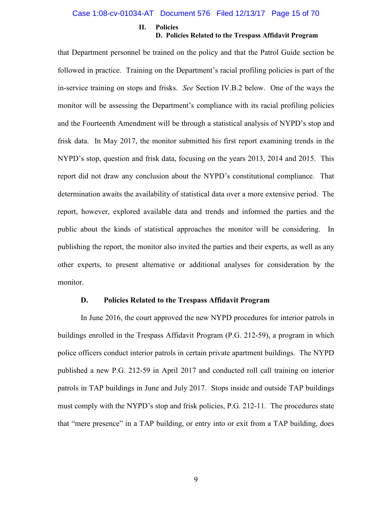#### Case 1:08-cv-01034-AT Document 576 Filed 12/13/17 Page 15 of 70

#### **II. Policies**

#### **D. Policies Related to the Trespass Affidavit Program**

that Department personnel be trained on the policy and that the Patrol Guide section be followed in practice. Training on the Department's racial profiling policies is part of the in-service training on stops and frisks. *See* Section IV.B.2 below. One of the ways the monitor will be assessing the Department's compliance with its racial profiling policies and the Fourteenth Amendment will be through a statistical analysis of NYPD's stop and frisk data. In May 2017, the monitor submitted his first report examining trends in the NYPD's stop, question and frisk data, focusing on the years 2013, 2014 and 2015. This report did not draw any conclusion about the NYPD's constitutional compliance. That determination awaits the availability of statistical data over a more extensive period. The report, however, explored available data and trends and informed the parties and the public about the kinds of statistical approaches the monitor will be considering. In publishing the report, the monitor also invited the parties and their experts, as well as any other experts, to present alternative or additional analyses for consideration by the monitor.

#### **D. Policies Related to the Trespass Affidavit Program**

In June 2016, the court approved the new NYPD procedures for interior patrols in buildings enrolled in the Trespass Affidavit Program (P.G. 212-59), a program in which police officers conduct interior patrols in certain private apartment buildings. The NYPD published a new P.G. 212-59 in April 2017 and conducted roll call training on interior patrols in TAP buildings in June and July 2017. Stops inside and outside TAP buildings must comply with the NYPD's stop and frisk policies, P.G. 212-11. The procedures state that "mere presence" in a TAP building, or entry into or exit from a TAP building, does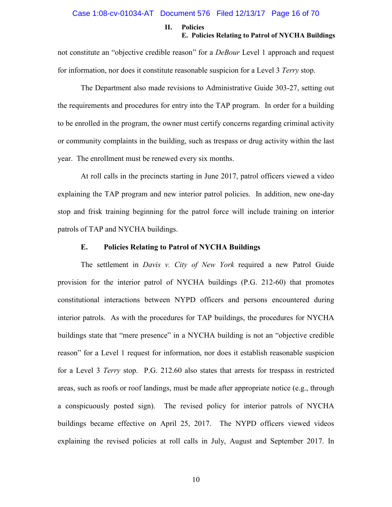#### **II. Policies E. Policies Relating to Patrol of NYCHA Buildings**

not constitute an "objective credible reason" for a *DeBour* Level 1 approach and request for information, nor does it constitute reasonable suspicion for a Level 3 *Terry* stop.

The Department also made revisions to Administrative Guide 303-27, setting out the requirements and procedures for entry into the TAP program. In order for a building to be enrolled in the program, the owner must certify concerns regarding criminal activity or community complaints in the building, such as trespass or drug activity within the last year. The enrollment must be renewed every six months.

At roll calls in the precincts starting in June 2017, patrol officers viewed a video explaining the TAP program and new interior patrol policies. In addition, new one-day stop and frisk training beginning for the patrol force will include training on interior patrols of TAP and NYCHA buildings.

#### **E. Policies Relating to Patrol of NYCHA Buildings**

The settlement in *Davis v. City of New York* required a new Patrol Guide provision for the interior patrol of NYCHA buildings (P.G. 212-60) that promotes constitutional interactions between NYPD officers and persons encountered during interior patrols. As with the procedures for TAP buildings, the procedures for NYCHA buildings state that "mere presence" in a NYCHA building is not an "objective credible reason" for a Level 1 request for information, nor does it establish reasonable suspicion for a Level 3 *Terry* stop. P.G. 212.60 also states that arrests for trespass in restricted areas, such as roofs or roof landings, must be made after appropriate notice (e.g., through a conspicuously posted sign). The revised policy for interior patrols of NYCHA buildings became effective on April 25, 2017. The NYPD officers viewed videos explaining the revised policies at roll calls in July, August and September 2017. In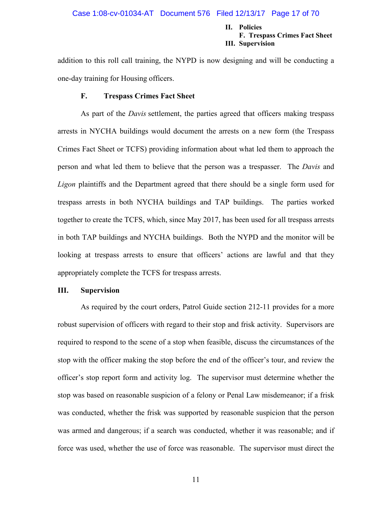#### **II. Policies F. Trespass Crimes Fact Sheet III. Supervision**

addition to this roll call training, the NYPD is now designing and will be conducting a one-day training for Housing officers.

#### **F. Trespass Crimes Fact Sheet**

As part of the *Davis* settlement, the parties agreed that officers making trespass arrests in NYCHA buildings would document the arrests on a new form (the Trespass Crimes Fact Sheet or TCFS) providing information about what led them to approach the person and what led them to believe that the person was a trespasser. The *Davis* and *Ligon* plaintiffs and the Department agreed that there should be a single form used for trespass arrests in both NYCHA buildings and TAP buildings. The parties worked together to create the TCFS, which, since May 2017, has been used for all trespass arrests in both TAP buildings and NYCHA buildings. Both the NYPD and the monitor will be looking at trespass arrests to ensure that officers' actions are lawful and that they appropriately complete the TCFS for trespass arrests.

#### **III. Supervision**

As required by the court orders, Patrol Guide section 212-11 provides for a more robust supervision of officers with regard to their stop and frisk activity. Supervisors are required to respond to the scene of a stop when feasible, discuss the circumstances of the stop with the officer making the stop before the end of the officer's tour, and review the officer's stop report form and activity log. The supervisor must determine whether the stop was based on reasonable suspicion of a felony or Penal Law misdemeanor; if a frisk was conducted, whether the frisk was supported by reasonable suspicion that the person was armed and dangerous; if a search was conducted, whether it was reasonable; and if force was used, whether the use of force was reasonable. The supervisor must direct the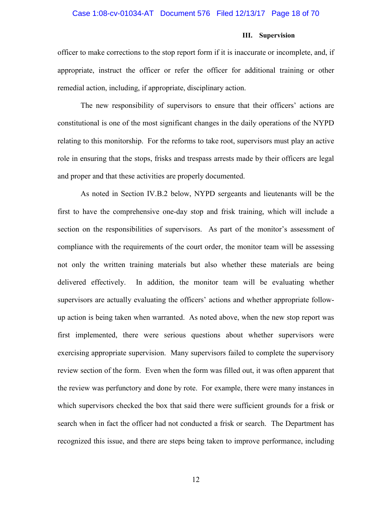#### Case 1:08-cv-01034-AT Document 576 Filed 12/13/17 Page 18 of 70

#### **III. Supervision**

officer to make corrections to the stop report form if it is inaccurate or incomplete, and, if appropriate, instruct the officer or refer the officer for additional training or other remedial action, including, if appropriate, disciplinary action.

The new responsibility of supervisors to ensure that their officers' actions are constitutional is one of the most significant changes in the daily operations of the NYPD relating to this monitorship. For the reforms to take root, supervisors must play an active role in ensuring that the stops, frisks and trespass arrests made by their officers are legal and proper and that these activities are properly documented.

As noted in Section IV.B.2 below, NYPD sergeants and lieutenants will be the first to have the comprehensive one-day stop and frisk training, which will include a section on the responsibilities of supervisors. As part of the monitor's assessment of compliance with the requirements of the court order, the monitor team will be assessing not only the written training materials but also whether these materials are being delivered effectively. In addition, the monitor team will be evaluating whether supervisors are actually evaluating the officers' actions and whether appropriate followup action is being taken when warranted. As noted above, when the new stop report was first implemented, there were serious questions about whether supervisors were exercising appropriate supervision. Many supervisors failed to complete the supervisory review section of the form. Even when the form was filled out, it was often apparent that the review was perfunctory and done by rote. For example, there were many instances in which supervisors checked the box that said there were sufficient grounds for a frisk or search when in fact the officer had not conducted a frisk or search. The Department has recognized this issue, and there are steps being taken to improve performance, including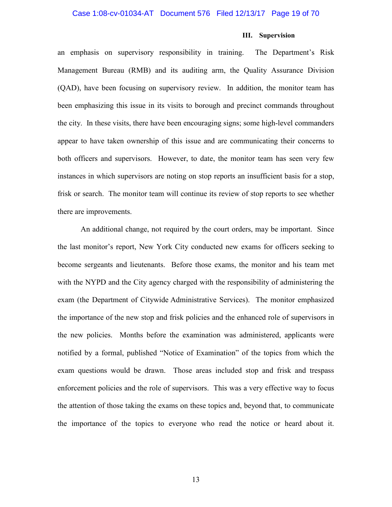#### Case 1:08-cv-01034-AT Document 576 Filed 12/13/17 Page 19 of 70

#### **III. Supervision**

an emphasis on supervisory responsibility in training. The Department's Risk Management Bureau (RMB) and its auditing arm, the Quality Assurance Division (QAD), have been focusing on supervisory review. In addition, the monitor team has been emphasizing this issue in its visits to borough and precinct commands throughout the city. In these visits, there have been encouraging signs; some high-level commanders appear to have taken ownership of this issue and are communicating their concerns to both officers and supervisors. However, to date, the monitor team has seen very few instances in which supervisors are noting on stop reports an insufficient basis for a stop, frisk or search. The monitor team will continue its review of stop reports to see whether there are improvements.

An additional change, not required by the court orders, may be important. Since the last monitor's report, New York City conducted new exams for officers seeking to become sergeants and lieutenants. Before those exams, the monitor and his team met with the NYPD and the City agency charged with the responsibility of administering the exam (the Department of Citywide Administrative Services). The monitor emphasized the importance of the new stop and frisk policies and the enhanced role of supervisors in the new policies. Months before the examination was administered, applicants were notified by a formal, published "Notice of Examination" of the topics from which the exam questions would be drawn. Those areas included stop and frisk and trespass enforcement policies and the role of supervisors. This was a very effective way to focus the attention of those taking the exams on these topics and, beyond that, to communicate the importance of the topics to everyone who read the notice or heard about it.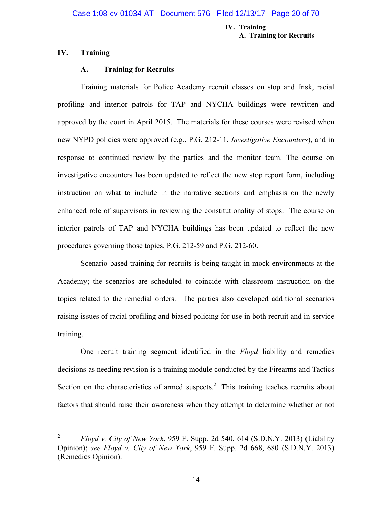#### **IV. Training A. Training for Recruits**

#### **IV. Training**

#### **A. Training for Recruits**

Training materials for Police Academy recruit classes on stop and frisk, racial profiling and interior patrols for TAP and NYCHA buildings were rewritten and approved by the court in April 2015. The materials for these courses were revised when new NYPD policies were approved (e.g., P.G. 212-11, *Investigative Encounters*), and in response to continued review by the parties and the monitor team. The course on investigative encounters has been updated to reflect the new stop report form, including instruction on what to include in the narrative sections and emphasis on the newly enhanced role of supervisors in reviewing the constitutionality of stops. The course on interior patrols of TAP and NYCHA buildings has been updated to reflect the new procedures governing those topics, P.G. 212-59 and P.G. 212-60.

Scenario-based training for recruits is being taught in mock environments at the Academy; the scenarios are scheduled to coincide with classroom instruction on the topics related to the remedial orders. The parties also developed additional scenarios raising issues of racial profiling and biased policing for use in both recruit and in-service training.

One recruit training segment identified in the *Floyd* liability and remedies decisions as needing revision is a training module conducted by the Firearms and Tactics Section on the characteristics of armed suspects.<sup>2</sup> This training teaches recruits about factors that should raise their awareness when they attempt to determine whether or not

<sup>2</sup> *Floyd v. City of New York*, 959 F. Supp. 2d 540, 614 (S.D.N.Y. 2013) (Liability Opinion); *see Floyd v. City of New York*, 959 F. Supp. 2d 668, 680 (S.D.N.Y. 2013) (Remedies Opinion).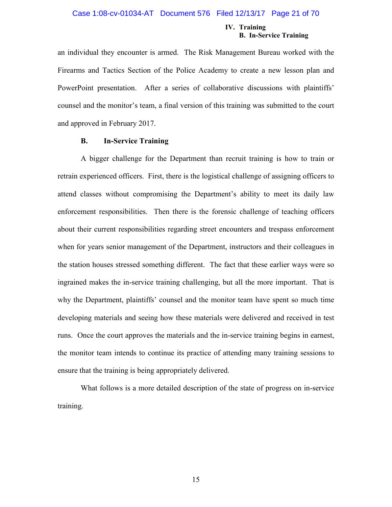#### **IV. Training B. In-Service Training**

an individual they encounter is armed. The Risk Management Bureau worked with the Firearms and Tactics Section of the Police Academy to create a new lesson plan and PowerPoint presentation. After a series of collaborative discussions with plaintiffs' counsel and the monitor's team, a final version of this training was submitted to the court and approved in February 2017.

#### **B. In-Service Training**

A bigger challenge for the Department than recruit training is how to train or retrain experienced officers. First, there is the logistical challenge of assigning officers to attend classes without compromising the Department's ability to meet its daily law enforcement responsibilities. Then there is the forensic challenge of teaching officers about their current responsibilities regarding street encounters and trespass enforcement when for years senior management of the Department, instructors and their colleagues in the station houses stressed something different. The fact that these earlier ways were so ingrained makes the in-service training challenging, but all the more important. That is why the Department, plaintiffs' counsel and the monitor team have spent so much time developing materials and seeing how these materials were delivered and received in test runs. Once the court approves the materials and the in-service training begins in earnest, the monitor team intends to continue its practice of attending many training sessions to ensure that the training is being appropriately delivered.

What follows is a more detailed description of the state of progress on in-service training.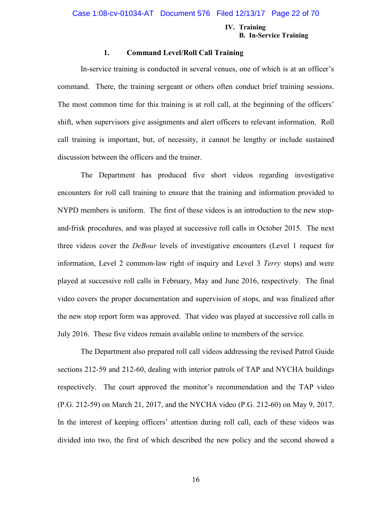#### **IV. Training B. In-Service Training**

#### **1. Command Level/Roll Call Training**

In-service training is conducted in several venues, one of which is at an officer's command. There, the training sergeant or others often conduct brief training sessions. The most common time for this training is at roll call, at the beginning of the officers' shift, when supervisors give assignments and alert officers to relevant information. Roll call training is important, but, of necessity, it cannot be lengthy or include sustained discussion between the officers and the trainer.

The Department has produced five short videos regarding investigative encounters for roll call training to ensure that the training and information provided to NYPD members is uniform. The first of these videos is an introduction to the new stopand-frisk procedures, and was played at successive roll calls in October 2015. The next three videos cover the *DeBour* levels of investigative encounters (Level 1 request for information, Level 2 common-law right of inquiry and Level 3 *Terry* stops) and were played at successive roll calls in February, May and June 2016, respectively. The final video covers the proper documentation and supervision of stops, and was finalized after the new stop report form was approved. That video was played at successive roll calls in July 2016. These five videos remain available online to members of the service.

The Department also prepared roll call videos addressing the revised Patrol Guide sections 212-59 and 212-60, dealing with interior patrols of TAP and NYCHA buildings respectively. The court approved the monitor's recommendation and the TAP video (P.G. 212-59) on March 21, 2017, and the NYCHA video (P.G. 212-60) on May 9, 2017. In the interest of keeping officers' attention during roll call, each of these videos was divided into two, the first of which described the new policy and the second showed a

16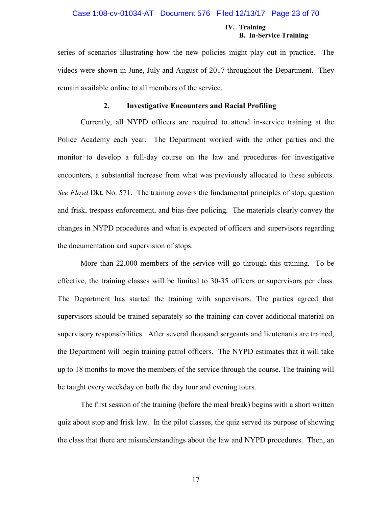#### Case 1:08-cv-01034-AT Document 576 Filed 12/13/17 Page 23 of 70

#### **IV. Training B. In-Service Training**

series of scenarios illustrating how the new policies might play out in practice. The videos were shown in June, July and August of 2017 throughout the Department. They remain available online to all members of the service.

#### **2. Investigative Encounters and Racial Profiling**

Currently, all NYPD officers are required to attend in-service training at the Police Academy each year. The Department worked with the other parties and the monitor to develop a full-day course on the law and procedures for investigative encounters, a substantial increase from what was previously allocated to these subjects. *See Floyd* Dkt. No. 571. The training covers the fundamental principles of stop, question and frisk, trespass enforcement, and bias-free policing. The materials clearly convey the changes in NYPD procedures and what is expected of officers and supervisors regarding the documentation and supervision of stops.

More than 22,000 members of the service will go through this training. To be effective, the training classes will be limited to 30-35 officers or supervisors per class. The Department has started the training with supervisors. The parties agreed that supervisors should be trained separately so the training can cover additional material on supervisory responsibilities. After several thousand sergeants and lieutenants are trained, the Department will begin training patrol officers. The NYPD estimates that it will take up to 18 months to move the members of the service through the course. The training will be taught every weekday on both the day tour and evening tours.

The first session of the training (before the meal break) begins with a short written quiz about stop and frisk law. In the pilot classes, the quiz served its purpose of showing the class that there are misunderstandings about the law and NYPD procedures. Then, an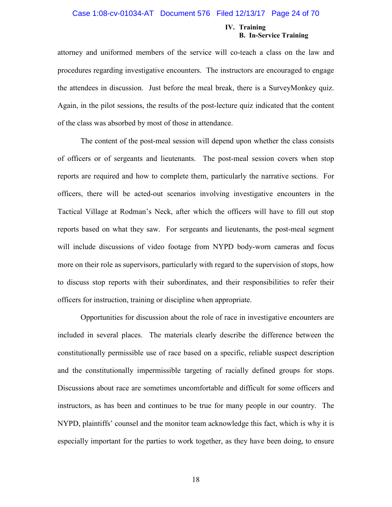#### Case 1:08-cv-01034-AT Document 576 Filed 12/13/17 Page 24 of 70

#### **IV. Training B. In-Service Training**

attorney and uniformed members of the service will co-teach a class on the law and procedures regarding investigative encounters. The instructors are encouraged to engage the attendees in discussion. Just before the meal break, there is a SurveyMonkey quiz. Again, in the pilot sessions, the results of the post-lecture quiz indicated that the content of the class was absorbed by most of those in attendance.

The content of the post-meal session will depend upon whether the class consists of officers or of sergeants and lieutenants. The post-meal session covers when stop reports are required and how to complete them, particularly the narrative sections. For officers, there will be acted-out scenarios involving investigative encounters in the Tactical Village at Rodman's Neck, after which the officers will have to fill out stop reports based on what they saw. For sergeants and lieutenants, the post-meal segment will include discussions of video footage from NYPD body-worn cameras and focus more on their role as supervisors, particularly with regard to the supervision of stops, how to discuss stop reports with their subordinates, and their responsibilities to refer their officers for instruction, training or discipline when appropriate.

Opportunities for discussion about the role of race in investigative encounters are included in several places. The materials clearly describe the difference between the constitutionally permissible use of race based on a specific, reliable suspect description and the constitutionally impermissible targeting of racially defined groups for stops. Discussions about race are sometimes uncomfortable and difficult for some officers and instructors, as has been and continues to be true for many people in our country. The NYPD, plaintiffs' counsel and the monitor team acknowledge this fact, which is why it is especially important for the parties to work together, as they have been doing, to ensure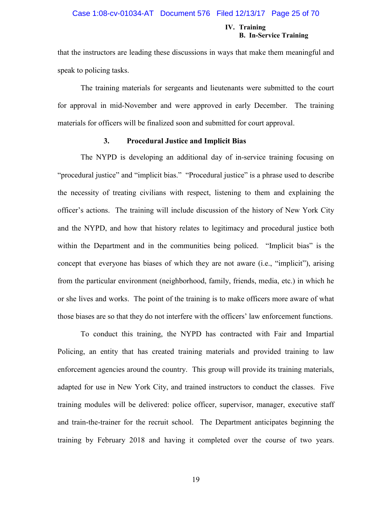#### Case 1:08-cv-01034-AT Document 576 Filed 12/13/17 Page 25 of 70

#### **IV. Training B. In-Service Training**

that the instructors are leading these discussions in ways that make them meaningful and speak to policing tasks.

The training materials for sergeants and lieutenants were submitted to the court for approval in mid-November and were approved in early December. The training materials for officers will be finalized soon and submitted for court approval.

#### **3. Procedural Justice and Implicit Bias**

The NYPD is developing an additional day of in-service training focusing on "procedural justice" and "implicit bias." "Procedural justice" is a phrase used to describe the necessity of treating civilians with respect, listening to them and explaining the officer's actions. The training will include discussion of the history of New York City and the NYPD, and how that history relates to legitimacy and procedural justice both within the Department and in the communities being policed. "Implicit bias" is the concept that everyone has biases of which they are not aware (i.e., "implicit"), arising from the particular environment (neighborhood, family, friends, media, etc.) in which he or she lives and works. The point of the training is to make officers more aware of what those biases are so that they do not interfere with the officers' law enforcement functions.

To conduct this training, the NYPD has contracted with Fair and Impartial Policing, an entity that has created training materials and provided training to law enforcement agencies around the country. This group will provide its training materials, adapted for use in New York City, and trained instructors to conduct the classes. Five training modules will be delivered: police officer, supervisor, manager, executive staff and train-the-trainer for the recruit school. The Department anticipates beginning the training by February 2018 and having it completed over the course of two years.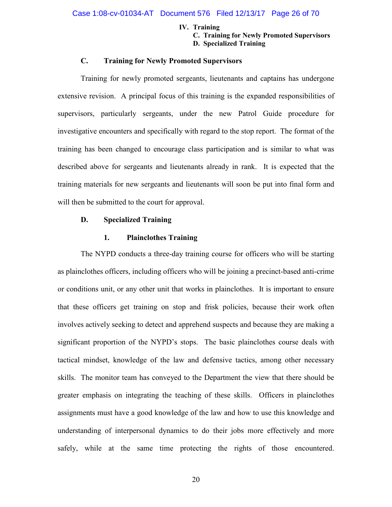#### **IV. Training**

**C. Training for Newly Promoted Supervisors D. Specialized Training**

#### **C. Training for Newly Promoted Supervisors**

Training for newly promoted sergeants, lieutenants and captains has undergone extensive revision. A principal focus of this training is the expanded responsibilities of supervisors, particularly sergeants, under the new Patrol Guide procedure for investigative encounters and specifically with regard to the stop report. The format of the training has been changed to encourage class participation and is similar to what was described above for sergeants and lieutenants already in rank. It is expected that the training materials for new sergeants and lieutenants will soon be put into final form and will then be submitted to the court for approval.

#### **D. Specialized Training**

#### **1. Plainclothes Training**

The NYPD conducts a three-day training course for officers who will be starting as plainclothes officers, including officers who will be joining a precinct-based anti-crime or conditions unit, or any other unit that works in plainclothes. It is important to ensure that these officers get training on stop and frisk policies, because their work often involves actively seeking to detect and apprehend suspects and because they are making a significant proportion of the NYPD's stops. The basic plainclothes course deals with tactical mindset, knowledge of the law and defensive tactics, among other necessary skills. The monitor team has conveyed to the Department the view that there should be greater emphasis on integrating the teaching of these skills. Officers in plainclothes assignments must have a good knowledge of the law and how to use this knowledge and understanding of interpersonal dynamics to do their jobs more effectively and more safely, while at the same time protecting the rights of those encountered.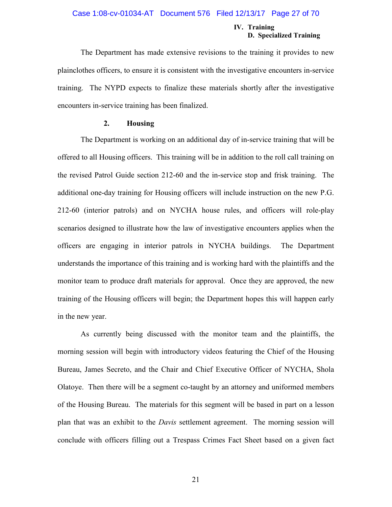#### Case 1:08-cv-01034-AT Document 576 Filed 12/13/17 Page 27 of 70

#### **IV. Training D. Specialized Training**

The Department has made extensive revisions to the training it provides to new plainclothes officers, to ensure it is consistent with the investigative encounters in-service training. The NYPD expects to finalize these materials shortly after the investigative encounters in-service training has been finalized.

#### **2. Housing**

The Department is working on an additional day of in-service training that will be offered to all Housing officers. This training will be in addition to the roll call training on the revised Patrol Guide section 212-60 and the in-service stop and frisk training. The additional one-day training for Housing officers will include instruction on the new P.G. 212-60 (interior patrols) and on NYCHA house rules, and officers will role-play scenarios designed to illustrate how the law of investigative encounters applies when the officers are engaging in interior patrols in NYCHA buildings. The Department understands the importance of this training and is working hard with the plaintiffs and the monitor team to produce draft materials for approval. Once they are approved, the new training of the Housing officers will begin; the Department hopes this will happen early in the new year.

As currently being discussed with the monitor team and the plaintiffs, the morning session will begin with introductory videos featuring the Chief of the Housing Bureau, James Secreto, and the Chair and Chief Executive Officer of NYCHA, Shola Olatoye. Then there will be a segment co-taught by an attorney and uniformed members of the Housing Bureau. The materials for this segment will be based in part on a lesson plan that was an exhibit to the *Davis* settlement agreement. The morning session will conclude with officers filling out a Trespass Crimes Fact Sheet based on a given fact

21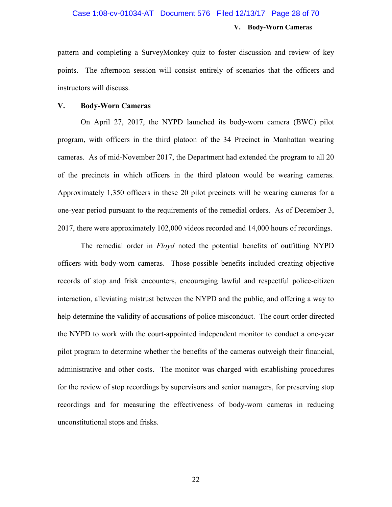## **V. Body-Worn Cameras** Case 1:08-cv-01034-AT Document 576 Filed 12/13/17 Page 28 of 70

pattern and completing a SurveyMonkey quiz to foster discussion and review of key points. The afternoon session will consist entirely of scenarios that the officers and instructors will discuss.

#### **V. Body-Worn Cameras**

On April 27, 2017, the NYPD launched its body-worn camera (BWC) pilot program, with officers in the third platoon of the 34 Precinct in Manhattan wearing cameras. As of mid-November 2017, the Department had extended the program to all 20 of the precincts in which officers in the third platoon would be wearing cameras. Approximately 1,350 officers in these 20 pilot precincts will be wearing cameras for a one-year period pursuant to the requirements of the remedial orders. As of December 3, 2017, there were approximately 102,000 videos recorded and 14,000 hours of recordings.

The remedial order in *Floyd* noted the potential benefits of outfitting NYPD officers with body-worn cameras. Those possible benefits included creating objective records of stop and frisk encounters, encouraging lawful and respectful police-citizen interaction, alleviating mistrust between the NYPD and the public, and offering a way to help determine the validity of accusations of police misconduct. The court order directed the NYPD to work with the court-appointed independent monitor to conduct a one-year pilot program to determine whether the benefits of the cameras outweigh their financial, administrative and other costs. The monitor was charged with establishing procedures for the review of stop recordings by supervisors and senior managers, for preserving stop recordings and for measuring the effectiveness of body-worn cameras in reducing unconstitutional stops and frisks.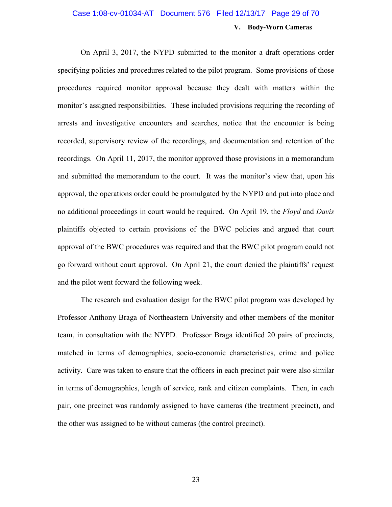## **V. Body-Worn Cameras** Case 1:08-cv-01034-AT Document 576 Filed 12/13/17 Page 29 of 70

On April 3, 2017, the NYPD submitted to the monitor a draft operations order specifying policies and procedures related to the pilot program. Some provisions of those procedures required monitor approval because they dealt with matters within the monitor's assigned responsibilities. These included provisions requiring the recording of arrests and investigative encounters and searches, notice that the encounter is being recorded, supervisory review of the recordings, and documentation and retention of the recordings. On April 11, 2017, the monitor approved those provisions in a memorandum and submitted the memorandum to the court. It was the monitor's view that, upon his approval, the operations order could be promulgated by the NYPD and put into place and no additional proceedings in court would be required. On April 19, the *Floyd* and *Davis* plaintiffs objected to certain provisions of the BWC policies and argued that court approval of the BWC procedures was required and that the BWC pilot program could not go forward without court approval. On April 21, the court denied the plaintiffs' request and the pilot went forward the following week.

The research and evaluation design for the BWC pilot program was developed by Professor Anthony Braga of Northeastern University and other members of the monitor team, in consultation with the NYPD. Professor Braga identified 20 pairs of precincts, matched in terms of demographics, socio-economic characteristics, crime and police activity. Care was taken to ensure that the officers in each precinct pair were also similar in terms of demographics, length of service, rank and citizen complaints. Then, in each pair, one precinct was randomly assigned to have cameras (the treatment precinct), and the other was assigned to be without cameras (the control precinct).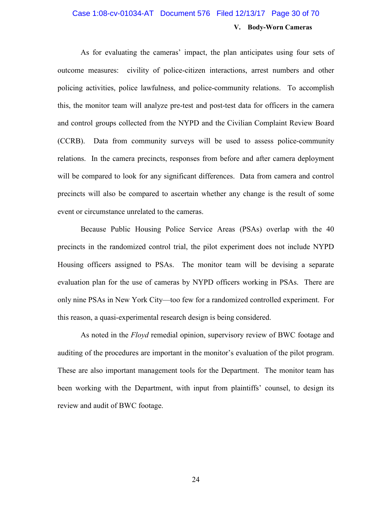## **V. Body-Worn Cameras** Case 1:08-cv-01034-AT Document 576 Filed 12/13/17 Page 30 of 70

As for evaluating the cameras' impact, the plan anticipates using four sets of outcome measures: civility of police-citizen interactions, arrest numbers and other policing activities, police lawfulness, and police-community relations. To accomplish this, the monitor team will analyze pre-test and post-test data for officers in the camera and control groups collected from the NYPD and the Civilian Complaint Review Board (CCRB). Data from community surveys will be used to assess police-community relations. In the camera precincts, responses from before and after camera deployment will be compared to look for any significant differences. Data from camera and control precincts will also be compared to ascertain whether any change is the result of some event or circumstance unrelated to the cameras.

Because Public Housing Police Service Areas (PSAs) overlap with the 40 precincts in the randomized control trial, the pilot experiment does not include NYPD Housing officers assigned to PSAs. The monitor team will be devising a separate evaluation plan for the use of cameras by NYPD officers working in PSAs. There are only nine PSAs in New York City—too few for a randomized controlled experiment. For this reason, a quasi-experimental research design is being considered.

As noted in the *Floyd* remedial opinion, supervisory review of BWC footage and auditing of the procedures are important in the monitor's evaluation of the pilot program. These are also important management tools for the Department. The monitor team has been working with the Department, with input from plaintiffs' counsel, to design its review and audit of BWC footage.

24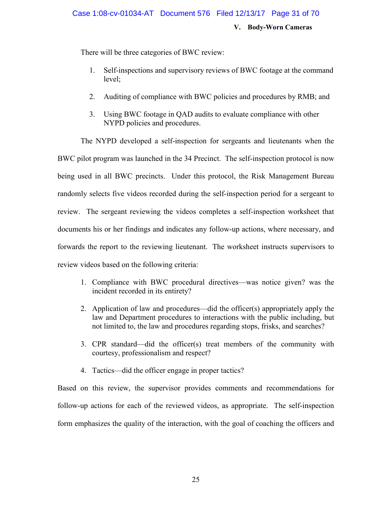#### Case 1:08-cv-01034-AT Document 576 Filed 12/13/17 Page 31 of 70

**V. Body-Worn Cameras**

There will be three categories of BWC review:

- 1. Self-inspections and supervisory reviews of BWC footage at the command level;
- 2. Auditing of compliance with BWC policies and procedures by RMB; and
- 3. Using BWC footage in QAD audits to evaluate compliance with other NYPD policies and procedures.

The NYPD developed a self-inspection for sergeants and lieutenants when the BWC pilot program was launched in the 34 Precinct. The self-inspection protocol is now being used in all BWC precincts. Under this protocol, the Risk Management Bureau randomly selects five videos recorded during the self-inspection period for a sergeant to review. The sergeant reviewing the videos completes a self-inspection worksheet that documents his or her findings and indicates any follow-up actions, where necessary, and forwards the report to the reviewing lieutenant. The worksheet instructs supervisors to review videos based on the following criteria:

- 1. Compliance with BWC procedural directives—was notice given? was the incident recorded in its entirety?
- 2. Application of law and procedures—did the officer(s) appropriately apply the law and Department procedures to interactions with the public including, but not limited to, the law and procedures regarding stops, frisks, and searches?
- 3. CPR standard—did the officer(s) treat members of the community with courtesy, professionalism and respect?
- 4. Tactics—did the officer engage in proper tactics?

Based on this review, the supervisor provides comments and recommendations for follow-up actions for each of the reviewed videos, as appropriate. The self-inspection form emphasizes the quality of the interaction, with the goal of coaching the officers and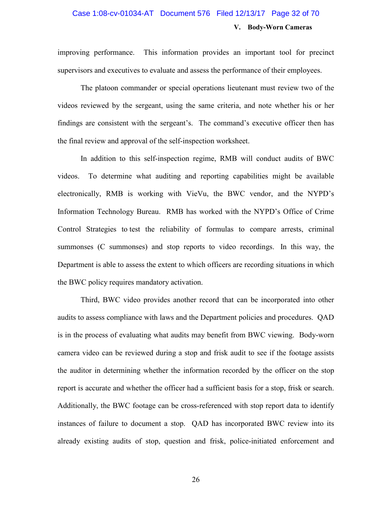## **V. Body-Worn Cameras** Case 1:08-cv-01034-AT Document 576 Filed 12/13/17 Page 32 of 70

improving performance. This information provides an important tool for precinct supervisors and executives to evaluate and assess the performance of their employees.

The platoon commander or special operations lieutenant must review two of the videos reviewed by the sergeant, using the same criteria, and note whether his or her findings are consistent with the sergeant's. The command's executive officer then has the final review and approval of the self-inspection worksheet.

In addition to this self-inspection regime, RMB will conduct audits of BWC videos. To determine what auditing and reporting capabilities might be available electronically, RMB is working with VieVu, the BWC vendor, and the NYPD's Information Technology Bureau. RMB has worked with the NYPD's Office of Crime Control Strategies to test the reliability of formulas to compare arrests, criminal summonses (C summonses) and stop reports to video recordings. In this way, the Department is able to assess the extent to which officers are recording situations in which the BWC policy requires mandatory activation.

Third, BWC video provides another record that can be incorporated into other audits to assess compliance with laws and the Department policies and procedures. QAD is in the process of evaluating what audits may benefit from BWC viewing. Body-worn camera video can be reviewed during a stop and frisk audit to see if the footage assists the auditor in determining whether the information recorded by the officer on the stop report is accurate and whether the officer had a sufficient basis for a stop, frisk or search. Additionally, the BWC footage can be cross-referenced with stop report data to identify instances of failure to document a stop. QAD has incorporated BWC review into its already existing audits of stop, question and frisk, police-initiated enforcement and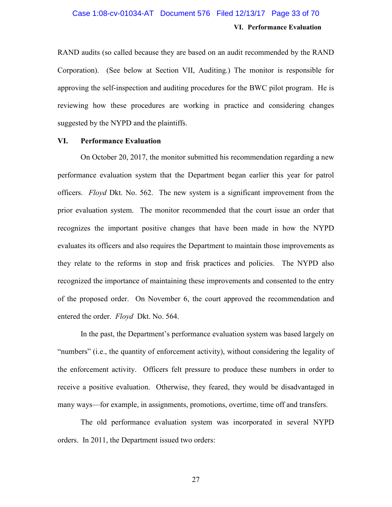### **VI. Performance Evaluation** Case 1:08-cv-01034-AT Document 576 Filed 12/13/17 Page 33 of 70

RAND audits (so called because they are based on an audit recommended by the RAND Corporation). (See below at Section VII, Auditing.) The monitor is responsible for approving the self-inspection and auditing procedures for the BWC pilot program. He is reviewing how these procedures are working in practice and considering changes suggested by the NYPD and the plaintiffs.

#### **VI. Performance Evaluation**

On October 20, 2017, the monitor submitted his recommendation regarding a new performance evaluation system that the Department began earlier this year for patrol officers. *Floyd* Dkt. No. 562. The new system is a significant improvement from the prior evaluation system. The monitor recommended that the court issue an order that recognizes the important positive changes that have been made in how the NYPD evaluates its officers and also requires the Department to maintain those improvements as they relate to the reforms in stop and frisk practices and policies. The NYPD also recognized the importance of maintaining these improvements and consented to the entry of the proposed order. On November 6, the court approved the recommendation and entered the order. *Floyd* Dkt. No. 564.

In the past, the Department's performance evaluation system was based largely on "numbers" (i.e., the quantity of enforcement activity), without considering the legality of the enforcement activity. Officers felt pressure to produce these numbers in order to receive a positive evaluation. Otherwise, they feared, they would be disadvantaged in many ways—for example, in assignments, promotions, overtime, time off and transfers.

The old performance evaluation system was incorporated in several NYPD orders. In 2011, the Department issued two orders:

27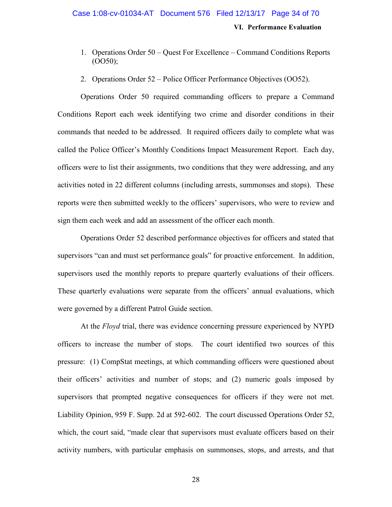**VI. Performance Evaluation**

- 1. Operations Order 50 Quest For Excellence Command Conditions Reports (OO50);
- 2. Operations Order 52 Police Officer Performance Objectives (OO52).

Operations Order 50 required commanding officers to prepare a Command Conditions Report each week identifying two crime and disorder conditions in their commands that needed to be addressed. It required officers daily to complete what was called the Police Officer's Monthly Conditions Impact Measurement Report. Each day, officers were to list their assignments, two conditions that they were addressing, and any activities noted in 22 different columns (including arrests, summonses and stops). These reports were then submitted weekly to the officers' supervisors, who were to review and sign them each week and add an assessment of the officer each month.

Operations Order 52 described performance objectives for officers and stated that supervisors "can and must set performance goals" for proactive enforcement. In addition, supervisors used the monthly reports to prepare quarterly evaluations of their officers. These quarterly evaluations were separate from the officers' annual evaluations, which were governed by a different Patrol Guide section.

At the *Floyd* trial, there was evidence concerning pressure experienced by NYPD officers to increase the number of stops. The court identified two sources of this pressure: (1) CompStat meetings, at which commanding officers were questioned about their officers' activities and number of stops; and (2) numeric goals imposed by supervisors that prompted negative consequences for officers if they were not met. Liability Opinion, 959 F. Supp. 2d at 592-602. The court discussed Operations Order 52, which, the court said, "made clear that supervisors must evaluate officers based on their activity numbers, with particular emphasis on summonses, stops, and arrests, and that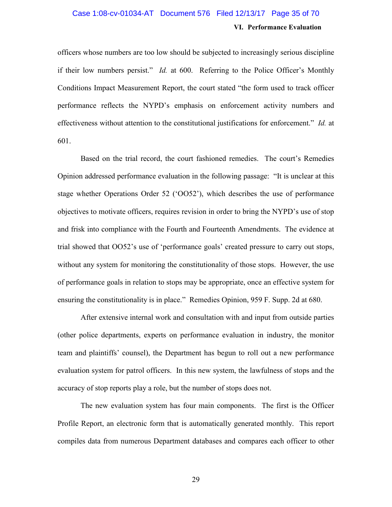## **VI. Performance Evaluation** Case 1:08-cv-01034-AT Document 576 Filed 12/13/17 Page 35 of 70

officers whose numbers are too low should be subjected to increasingly serious discipline if their low numbers persist." *Id.* at 600. Referring to the Police Officer's Monthly Conditions Impact Measurement Report, the court stated "the form used to track officer performance reflects the NYPD's emphasis on enforcement activity numbers and effectiveness without attention to the constitutional justifications for enforcement." *Id.* at 601.

Based on the trial record, the court fashioned remedies. The court's Remedies Opinion addressed performance evaluation in the following passage: "It is unclear at this stage whether Operations Order 52 ('OO52'), which describes the use of performance objectives to motivate officers, requires revision in order to bring the NYPD's use of stop and frisk into compliance with the Fourth and Fourteenth Amendments. The evidence at trial showed that OO52's use of 'performance goals' created pressure to carry out stops, without any system for monitoring the constitutionality of those stops. However, the use of performance goals in relation to stops may be appropriate, once an effective system for ensuring the constitutionality is in place." Remedies Opinion, 959 F. Supp. 2d at 680.

After extensive internal work and consultation with and input from outside parties (other police departments, experts on performance evaluation in industry, the monitor team and plaintiffs' counsel), the Department has begun to roll out a new performance evaluation system for patrol officers. In this new system, the lawfulness of stops and the accuracy of stop reports play a role, but the number of stops does not.

The new evaluation system has four main components. The first is the Officer Profile Report, an electronic form that is automatically generated monthly. This report compiles data from numerous Department databases and compares each officer to other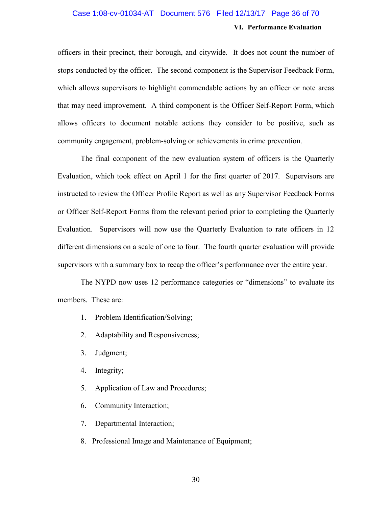## **VI. Performance Evaluation** Case 1:08-cv-01034-AT Document 576 Filed 12/13/17 Page 36 of 70

officers in their precinct, their borough, and citywide. It does not count the number of stops conducted by the officer. The second component is the Supervisor Feedback Form, which allows supervisors to highlight commendable actions by an officer or note areas that may need improvement. A third component is the Officer Self-Report Form, which allows officers to document notable actions they consider to be positive, such as community engagement, problem-solving or achievements in crime prevention.

The final component of the new evaluation system of officers is the Quarterly Evaluation, which took effect on April 1 for the first quarter of 2017. Supervisors are instructed to review the Officer Profile Report as well as any Supervisor Feedback Forms or Officer Self-Report Forms from the relevant period prior to completing the Quarterly Evaluation. Supervisors will now use the Quarterly Evaluation to rate officers in 12 different dimensions on a scale of one to four. The fourth quarter evaluation will provide supervisors with a summary box to recap the officer's performance over the entire year.

The NYPD now uses 12 performance categories or "dimensions" to evaluate its members. These are:

- 1. Problem Identification/Solving;
- 2. Adaptability and Responsiveness;
- 3. Judgment;
- 4. Integrity;
- 5. Application of Law and Procedures;
- 6. Community Interaction;
- 7. Departmental Interaction;
- 8. Professional Image and Maintenance of Equipment;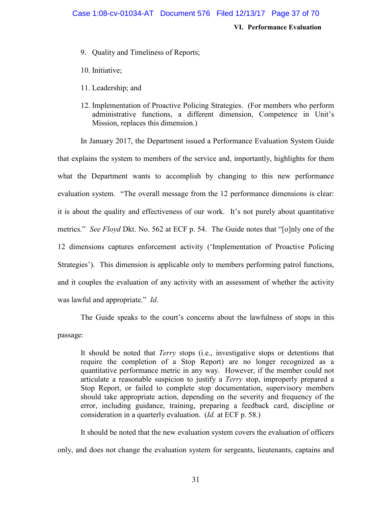#### **VI. Performance Evaluation**

- 9. Quality and Timeliness of Reports;
- 10. Initiative;
- 11. Leadership; and
- 12. Implementation of Proactive Policing Strategies. (For members who perform administrative functions, a different dimension, Competence in Unit's Mission, replaces this dimension.)

In January 2017, the Department issued a Performance Evaluation System Guide that explains the system to members of the service and, importantly, highlights for them what the Department wants to accomplish by changing to this new performance evaluation system. "The overall message from the 12 performance dimensions is clear: it is about the quality and effectiveness of our work. It's not purely about quantitative metrics." *See Floyd* Dkt. No. 562 at ECF p. 54. The Guide notes that "[o]nly one of the 12 dimensions captures enforcement activity ('Implementation of Proactive Policing Strategies'). This dimension is applicable only to members performing patrol functions, and it couples the evaluation of any activity with an assessment of whether the activity was lawful and appropriate." *Id*.

The Guide speaks to the court's concerns about the lawfulness of stops in this passage:

It should be noted that *Terry* stops (i.e., investigative stops or detentions that require the completion of a Stop Report) are no longer recognized as a quantitative performance metric in any way. However, if the member could not articulate a reasonable suspicion to justify a *Terry* stop, improperly prepared a Stop Report, or failed to complete stop documentation, supervisory members should take appropriate action, depending on the severity and frequency of the error, including guidance, training, preparing a feedback card, discipline or consideration in a quarterly evaluation. (*Id.* at ECF p. 58.)

It should be noted that the new evaluation system covers the evaluation of officers only, and does not change the evaluation system for sergeants, lieutenants, captains and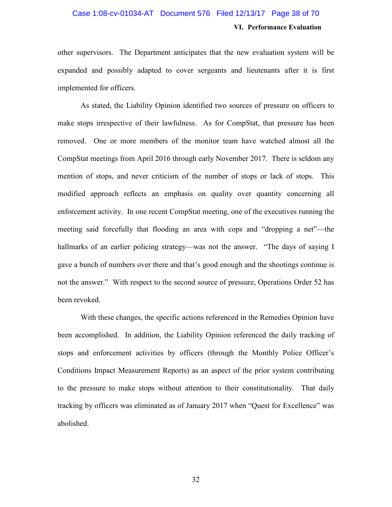## **VI. Performance Evaluation** Case 1:08-cv-01034-AT Document 576 Filed 12/13/17 Page 38 of 70

other supervisors. The Department anticipates that the new evaluation system will be expanded and possibly adapted to cover sergeants and lieutenants after it is first implemented for officers.

As stated, the Liability Opinion identified two sources of pressure on officers to make stops irrespective of their lawfulness. As for CompStat, that pressure has been removed. One or more members of the monitor team have watched almost all the CompStat meetings from April 2016 through early November 2017. There is seldom any mention of stops, and never criticism of the number of stops or lack of stops. This modified approach reflects an emphasis on quality over quantity concerning all enforcement activity. In one recent CompStat meeting, one of the executives running the meeting said forcefully that flooding an area with cops and "dropping a net"—the hallmarks of an earlier policing strategy—was not the answer. "The days of saying I gave a bunch of numbers over there and that's good enough and the shootings continue is not the answer." With respect to the second source of pressure, Operations Order 52 has been revoked.

With these changes, the specific actions referenced in the Remedies Opinion have been accomplished. In addition, the Liability Opinion referenced the daily tracking of stops and enforcement activities by officers (through the Monthly Police Officer's Conditions Impact Measurement Reports) as an aspect of the prior system contributing to the pressure to make stops without attention to their constitutionality. That daily tracking by officers was eliminated as of January 2017 when "Quest for Excellence" was abolished.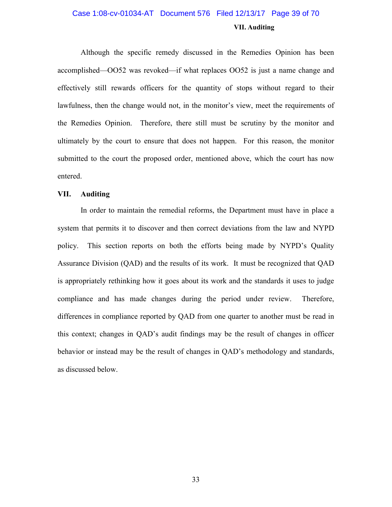## **VII. Auditing** Case 1:08-cv-01034-AT Document 576 Filed 12/13/17 Page 39 of 70

Although the specific remedy discussed in the Remedies Opinion has been accomplished—OO52 was revoked—if what replaces OO52 is just a name change and effectively still rewards officers for the quantity of stops without regard to their lawfulness, then the change would not, in the monitor's view, meet the requirements of the Remedies Opinion. Therefore, there still must be scrutiny by the monitor and ultimately by the court to ensure that does not happen. For this reason, the monitor submitted to the court the proposed order, mentioned above, which the court has now entered.

#### **VII. Auditing**

In order to maintain the remedial reforms, the Department must have in place a system that permits it to discover and then correct deviations from the law and NYPD policy. This section reports on both the efforts being made by NYPD's Quality Assurance Division (QAD) and the results of its work. It must be recognized that QAD is appropriately rethinking how it goes about its work and the standards it uses to judge compliance and has made changes during the period under review. Therefore, differences in compliance reported by QAD from one quarter to another must be read in this context; changes in QAD's audit findings may be the result of changes in officer behavior or instead may be the result of changes in QAD's methodology and standards, as discussed below.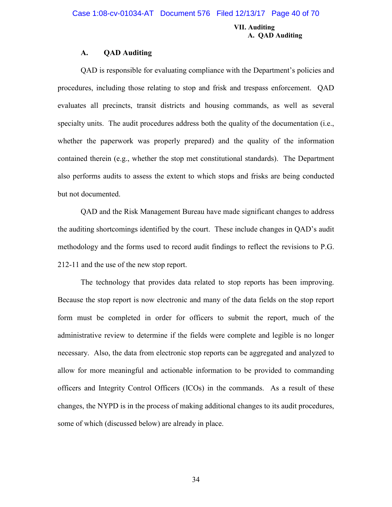#### **VII. Auditing A. QAD Auditing**

#### **A. QAD Auditing**

QAD is responsible for evaluating compliance with the Department's policies and procedures, including those relating to stop and frisk and trespass enforcement. QAD evaluates all precincts, transit districts and housing commands, as well as several specialty units. The audit procedures address both the quality of the documentation (i.e., whether the paperwork was properly prepared) and the quality of the information contained therein (e.g., whether the stop met constitutional standards). The Department also performs audits to assess the extent to which stops and frisks are being conducted but not documented.

QAD and the Risk Management Bureau have made significant changes to address the auditing shortcomings identified by the court. These include changes in QAD's audit methodology and the forms used to record audit findings to reflect the revisions to P.G. 212-11 and the use of the new stop report.

The technology that provides data related to stop reports has been improving. Because the stop report is now electronic and many of the data fields on the stop report form must be completed in order for officers to submit the report, much of the administrative review to determine if the fields were complete and legible is no longer necessary. Also, the data from electronic stop reports can be aggregated and analyzed to allow for more meaningful and actionable information to be provided to commanding officers and Integrity Control Officers (ICOs) in the commands. As a result of these changes, the NYPD is in the process of making additional changes to its audit procedures, some of which (discussed below) are already in place.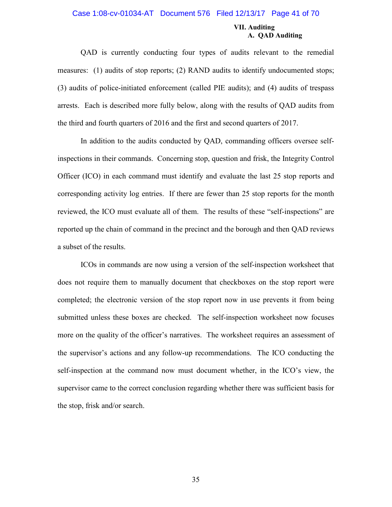#### Case 1:08-cv-01034-AT Document 576 Filed 12/13/17 Page 41 of 70

#### **VII. Auditing A. QAD Auditing**

QAD is currently conducting four types of audits relevant to the remedial measures: (1) audits of stop reports; (2) RAND audits to identify undocumented stops; (3) audits of police-initiated enforcement (called PIE audits); and (4) audits of trespass arrests. Each is described more fully below, along with the results of QAD audits from the third and fourth quarters of 2016 and the first and second quarters of 2017.

In addition to the audits conducted by QAD, commanding officers oversee selfinspections in their commands. Concerning stop, question and frisk, the Integrity Control Officer (ICO) in each command must identify and evaluate the last 25 stop reports and corresponding activity log entries. If there are fewer than 25 stop reports for the month reviewed, the ICO must evaluate all of them. The results of these "self-inspections" are reported up the chain of command in the precinct and the borough and then QAD reviews a subset of the results.

ICOs in commands are now using a version of the self-inspection worksheet that does not require them to manually document that checkboxes on the stop report were completed; the electronic version of the stop report now in use prevents it from being submitted unless these boxes are checked. The self-inspection worksheet now focuses more on the quality of the officer's narratives. The worksheet requires an assessment of the supervisor's actions and any follow-up recommendations. The ICO conducting the self-inspection at the command now must document whether, in the ICO's view, the supervisor came to the correct conclusion regarding whether there was sufficient basis for the stop, frisk and/or search.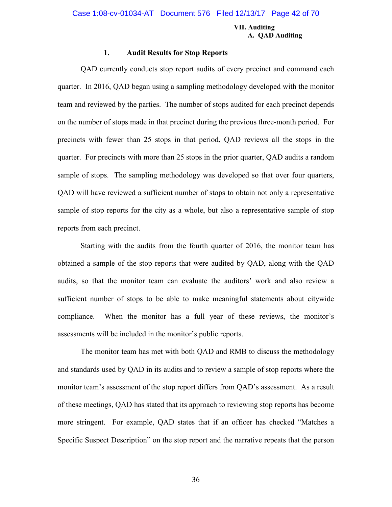#### **VII. Auditing A. QAD Auditing**

#### **1. Audit Results for Stop Reports**

QAD currently conducts stop report audits of every precinct and command each quarter. In 2016, QAD began using a sampling methodology developed with the monitor team and reviewed by the parties. The number of stops audited for each precinct depends on the number of stops made in that precinct during the previous three-month period. For precincts with fewer than 25 stops in that period, QAD reviews all the stops in the quarter. For precincts with more than 25 stops in the prior quarter, QAD audits a random sample of stops. The sampling methodology was developed so that over four quarters, QAD will have reviewed a sufficient number of stops to obtain not only a representative sample of stop reports for the city as a whole, but also a representative sample of stop reports from each precinct.

Starting with the audits from the fourth quarter of 2016, the monitor team has obtained a sample of the stop reports that were audited by QAD, along with the QAD audits, so that the monitor team can evaluate the auditors' work and also review a sufficient number of stops to be able to make meaningful statements about citywide compliance. When the monitor has a full year of these reviews, the monitor's assessments will be included in the monitor's public reports.

The monitor team has met with both QAD and RMB to discuss the methodology and standards used by QAD in its audits and to review a sample of stop reports where the monitor team's assessment of the stop report differs from QAD's assessment. As a result of these meetings, QAD has stated that its approach to reviewing stop reports has become more stringent. For example, QAD states that if an officer has checked "Matches a Specific Suspect Description" on the stop report and the narrative repeats that the person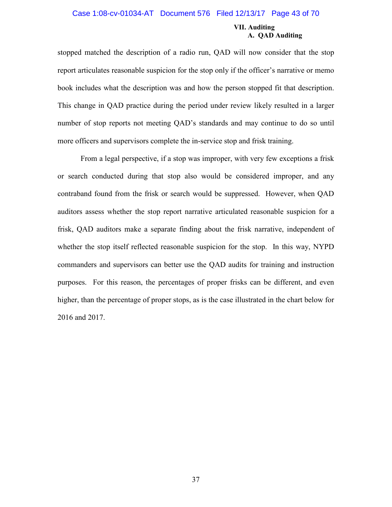#### Case 1:08-cv-01034-AT Document 576 Filed 12/13/17 Page 43 of 70

#### **VII. Auditing A. QAD Auditing**

stopped matched the description of a radio run, QAD will now consider that the stop report articulates reasonable suspicion for the stop only if the officer's narrative or memo book includes what the description was and how the person stopped fit that description. This change in QAD practice during the period under review likely resulted in a larger number of stop reports not meeting QAD's standards and may continue to do so until more officers and supervisors complete the in-service stop and frisk training.

From a legal perspective, if a stop was improper, with very few exceptions a frisk or search conducted during that stop also would be considered improper, and any contraband found from the frisk or search would be suppressed. However, when QAD auditors assess whether the stop report narrative articulated reasonable suspicion for a frisk, QAD auditors make a separate finding about the frisk narrative, independent of whether the stop itself reflected reasonable suspicion for the stop. In this way, NYPD commanders and supervisors can better use the QAD audits for training and instruction purposes. For this reason, the percentages of proper frisks can be different, and even higher, than the percentage of proper stops, as is the case illustrated in the chart below for 2016 and 2017.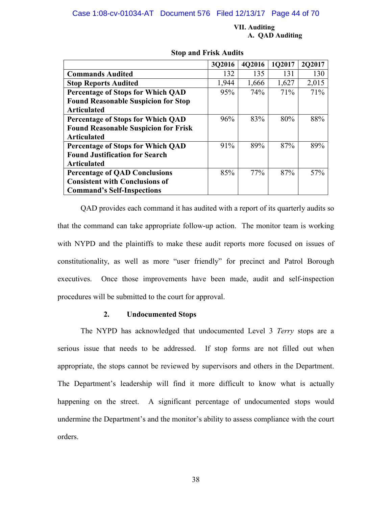#### Case 1:08-cv-01034-AT Document 576 Filed 12/13/17 Page 44 of 70

#### **VII. Auditing A. QAD Auditing**

|                                             | 3Q2016 | 4Q2016 | 1Q2017 | 2Q2017 |
|---------------------------------------------|--------|--------|--------|--------|
| <b>Commands Audited</b>                     | 132    | 135    | 131    | 130    |
| <b>Stop Reports Audited</b>                 | 1,944  | 1,666  | 1,627  | 2,015  |
| <b>Percentage of Stops for Which QAD</b>    | 95%    | 74%    | 71%    | 71%    |
| <b>Found Reasonable Suspicion for Stop</b>  |        |        |        |        |
| <b>Articulated</b>                          |        |        |        |        |
| <b>Percentage of Stops for Which QAD</b>    | 96%    | 83%    | 80%    | 88%    |
| <b>Found Reasonable Suspicion for Frisk</b> |        |        |        |        |
| <b>Articulated</b>                          |        |        |        |        |
| <b>Percentage of Stops for Which QAD</b>    | 91%    | 89%    | 87%    | 89%    |
| <b>Found Justification for Search</b>       |        |        |        |        |
| <b>Articulated</b>                          |        |        |        |        |
| <b>Percentage of QAD Conclusions</b>        | 85%    | 77%    | 87%    | 57%    |
| <b>Consistent with Conclusions of</b>       |        |        |        |        |
| <b>Command's Self-Inspections</b>           |        |        |        |        |

#### **Stop and Frisk Audits**

QAD provides each command it has audited with a report of its quarterly audits so that the command can take appropriate follow-up action. The monitor team is working with NYPD and the plaintiffs to make these audit reports more focused on issues of constitutionality, as well as more "user friendly" for precinct and Patrol Borough executives. Once those improvements have been made, audit and self-inspection procedures will be submitted to the court for approval.

#### **2. Undocumented Stops**

The NYPD has acknowledged that undocumented Level 3 *Terry* stops are a serious issue that needs to be addressed. If stop forms are not filled out when appropriate, the stops cannot be reviewed by supervisors and others in the Department. The Department's leadership will find it more difficult to know what is actually happening on the street. A significant percentage of undocumented stops would undermine the Department's and the monitor's ability to assess compliance with the court orders.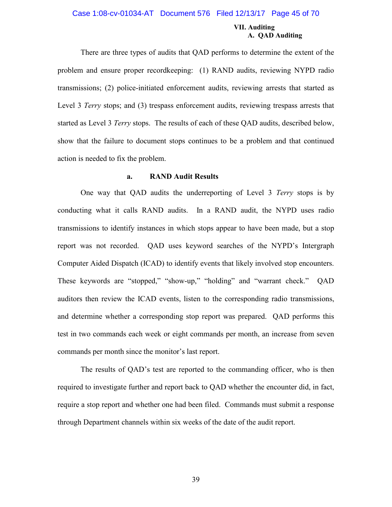#### Case 1:08-cv-01034-AT Document 576 Filed 12/13/17 Page 45 of 70

#### **VII. Auditing A. QAD Auditing**

There are three types of audits that QAD performs to determine the extent of the problem and ensure proper recordkeeping: (1) RAND audits, reviewing NYPD radio transmissions; (2) police-initiated enforcement audits, reviewing arrests that started as Level 3 *Terry* stops; and (3) trespass enforcement audits, reviewing trespass arrests that started as Level 3 *Terry* stops. The results of each of these QAD audits, described below, show that the failure to document stops continues to be a problem and that continued action is needed to fix the problem.

#### **a. RAND Audit Results**

One way that QAD audits the underreporting of Level 3 *Terry* stops is by conducting what it calls RAND audits. In a RAND audit, the NYPD uses radio transmissions to identify instances in which stops appear to have been made, but a stop report was not recorded. QAD uses keyword searches of the NYPD's Intergraph Computer Aided Dispatch (ICAD) to identify events that likely involved stop encounters. These keywords are "stopped," "show-up," "holding" and "warrant check." QAD auditors then review the ICAD events, listen to the corresponding radio transmissions, and determine whether a corresponding stop report was prepared. QAD performs this test in two commands each week or eight commands per month, an increase from seven commands per month since the monitor's last report.

The results of QAD's test are reported to the commanding officer, who is then required to investigate further and report back to QAD whether the encounter did, in fact, require a stop report and whether one had been filed. Commands must submit a response through Department channels within six weeks of the date of the audit report.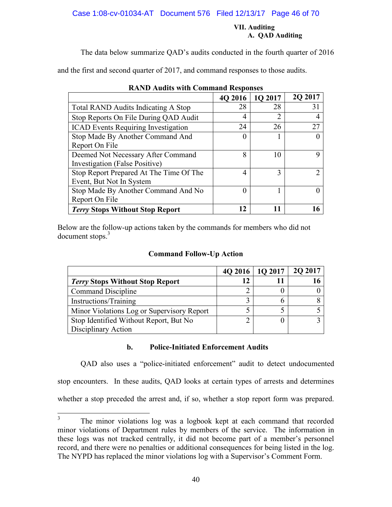Case 1:08-cv-01034-AT Document 576 Filed 12/13/17 Page 46 of 70

#### **VII. Auditing A. QAD Auditing**

The data below summarize QAD's audits conducted in the fourth quarter of 2016

and the first and second quarter of 2017, and command responses to those audits.

| 1.1                                        |                  |         |         |
|--------------------------------------------|------------------|---------|---------|
|                                            | 4Q 2016          | 1Q 2017 | 2Q 2017 |
| <b>Total RAND Audits Indicating A Stop</b> | 28               | 28      | 31      |
| Stop Reports On File During QAD Audit      | 4                | 2       |         |
| <b>ICAD Events Requiring Investigation</b> | 24               | 26      | 27      |
| Stop Made By Another Command And           | $\left( \right)$ |         |         |
| Report On File                             |                  |         |         |
| Deemed Not Necessary After Command         | 8                | 10      | Q       |
| Investigation (False Positive)             |                  |         |         |
| Stop Report Prepared At The Time Of The    | 4                | 3       |         |
| Event, But Not In System                   |                  |         |         |
| Stop Made By Another Command And No        | 0                |         |         |
| Report On File                             |                  |         |         |
| <b>Terry Stops Without Stop Report</b>     | 12               |         |         |

| <b>RAND Audits with Command Responses</b> |  |  |  |
|-------------------------------------------|--|--|--|
|-------------------------------------------|--|--|--|

Below are the follow-up actions taken by the commands for members who did not document stops.<sup>3</sup>

#### **Command Follow-Up Action**

|                                            | 4Q 2016   1Q 2017 | 2Q 2017 |
|--------------------------------------------|-------------------|---------|
| <b>Terry Stops Without Stop Report</b>     | 12                |         |
| Command Discipline                         | ◠                 |         |
| Instructions/Training                      |                   |         |
| Minor Violations Log or Supervisory Report |                   |         |
| Stop Identified Without Report, But No.    | Δ                 |         |
| Disciplinary Action                        |                   |         |

#### **b. Police-Initiated Enforcement Audits**

QAD also uses a "police-initiated enforcement" audit to detect undocumented stop encounters. In these audits, QAD looks at certain types of arrests and determines whether a stop preceded the arrest and, if so, whether a stop report form was prepared.

<sup>3</sup> The minor violations log was a logbook kept at each command that recorded minor violations of Department rules by members of the service. The information in these logs was not tracked centrally, it did not become part of a member's personnel record, and there were no penalties or additional consequences for being listed in the log. The NYPD has replaced the minor violations log with a Supervisor's Comment Form.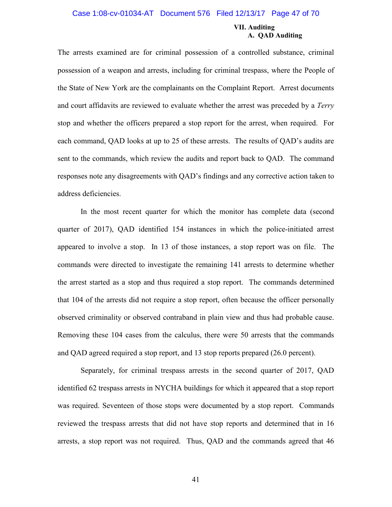#### Case 1:08-cv-01034-AT Document 576 Filed 12/13/17 Page 47 of 70

#### **VII. Auditing A. QAD Auditing**

The arrests examined are for criminal possession of a controlled substance, criminal possession of a weapon and arrests, including for criminal trespass, where the People of the State of New York are the complainants on the Complaint Report. Arrest documents and court affidavits are reviewed to evaluate whether the arrest was preceded by a *Terry* stop and whether the officers prepared a stop report for the arrest, when required. For each command, QAD looks at up to 25 of these arrests. The results of QAD's audits are sent to the commands, which review the audits and report back to QAD. The command responses note any disagreements with QAD's findings and any corrective action taken to address deficiencies.

In the most recent quarter for which the monitor has complete data (second quarter of 2017), QAD identified 154 instances in which the police-initiated arrest appeared to involve a stop. In 13 of those instances, a stop report was on file. The commands were directed to investigate the remaining 141 arrests to determine whether the arrest started as a stop and thus required a stop report. The commands determined that 104 of the arrests did not require a stop report, often because the officer personally observed criminality or observed contraband in plain view and thus had probable cause. Removing these 104 cases from the calculus, there were 50 arrests that the commands and QAD agreed required a stop report, and 13 stop reports prepared (26.0 percent).

Separately, for criminal trespass arrests in the second quarter of 2017, QAD identified 62 trespass arrests in NYCHA buildings for which it appeared that a stop report was required. Seventeen of those stops were documented by a stop report. Commands reviewed the trespass arrests that did not have stop reports and determined that in 16 arrests, a stop report was not required. Thus, QAD and the commands agreed that 46

41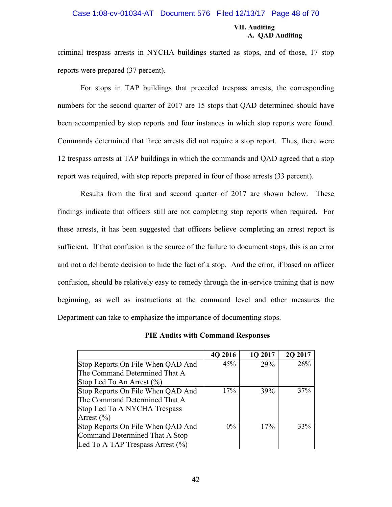#### Case 1:08-cv-01034-AT Document 576 Filed 12/13/17 Page 48 of 70

#### **VII. Auditing A. QAD Auditing**

criminal trespass arrests in NYCHA buildings started as stops, and of those, 17 stop reports were prepared (37 percent).

For stops in TAP buildings that preceded trespass arrests, the corresponding numbers for the second quarter of 2017 are 15 stops that QAD determined should have been accompanied by stop reports and four instances in which stop reports were found. Commands determined that three arrests did not require a stop report. Thus, there were 12 trespass arrests at TAP buildings in which the commands and QAD agreed that a stop report was required, with stop reports prepared in four of those arrests (33 percent).

Results from the first and second quarter of 2017 are shown below. These findings indicate that officers still are not completing stop reports when required. For these arrests, it has been suggested that officers believe completing an arrest report is sufficient. If that confusion is the source of the failure to document stops, this is an error and not a deliberate decision to hide the fact of a stop. And the error, if based on officer confusion, should be relatively easy to remedy through the in-service training that is now beginning, as well as instructions at the command level and other measures the Department can take to emphasize the importance of documenting stops.

| <b>PIE Audits with Command Responses</b> |  |  |  |
|------------------------------------------|--|--|--|
|------------------------------------------|--|--|--|

|                                      | 4Q 2016 | 1Q 2017    | 2Q 2017 |
|--------------------------------------|---------|------------|---------|
| Stop Reports On File When QAD And    | 45%     | 29%        | 26%     |
| The Command Determined That A        |         |            |         |
| Stop Led To An Arrest $(\% )$        |         |            |         |
| Stop Reports On File When QAD And    | 17%     | <b>39%</b> | 37%     |
| The Command Determined That A        |         |            |         |
| Stop Led To A NYCHA Trespass         |         |            |         |
| Arrest $(\% )$                       |         |            |         |
| Stop Reports On File When QAD And    | $0\%$   | 17%        | 33%     |
| Command Determined That A Stop       |         |            |         |
| Led To A TAP Trespass Arrest $(\% )$ |         |            |         |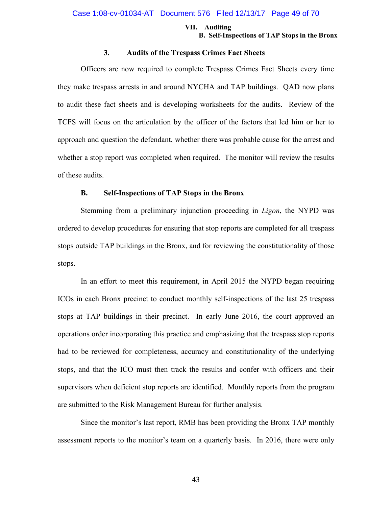#### **VII. Auditing B. Self-Inspections of TAP Stops in the Bronx**

#### **3. Audits of the Trespass Crimes Fact Sheets**

Officers are now required to complete Trespass Crimes Fact Sheets every time they make trespass arrests in and around NYCHA and TAP buildings. QAD now plans to audit these fact sheets and is developing worksheets for the audits. Review of the TCFS will focus on the articulation by the officer of the factors that led him or her to approach and question the defendant, whether there was probable cause for the arrest and whether a stop report was completed when required. The monitor will review the results of these audits.

#### **B. Self-Inspections of TAP Stops in the Bronx**

Stemming from a preliminary injunction proceeding in *Ligon*, the NYPD was ordered to develop procedures for ensuring that stop reports are completed for all trespass stops outside TAP buildings in the Bronx, and for reviewing the constitutionality of those stops.

In an effort to meet this requirement, in April 2015 the NYPD began requiring ICOs in each Bronx precinct to conduct monthly self-inspections of the last 25 trespass stops at TAP buildings in their precinct. In early June 2016, the court approved an operations order incorporating this practice and emphasizing that the trespass stop reports had to be reviewed for completeness, accuracy and constitutionality of the underlying stops, and that the ICO must then track the results and confer with officers and their supervisors when deficient stop reports are identified. Monthly reports from the program are submitted to the Risk Management Bureau for further analysis.

Since the monitor's last report, RMB has been providing the Bronx TAP monthly assessment reports to the monitor's team on a quarterly basis. In 2016, there were only

43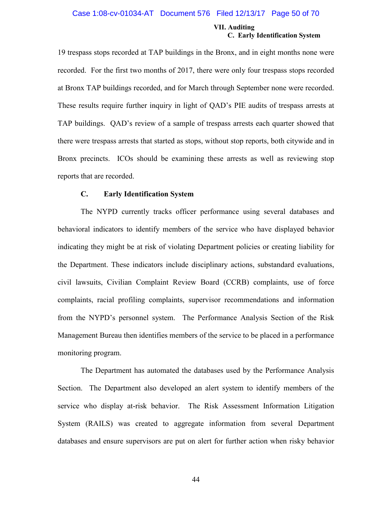#### Case 1:08-cv-01034-AT Document 576 Filed 12/13/17 Page 50 of 70

#### **VII. Auditing C. Early Identification System**

19 trespass stops recorded at TAP buildings in the Bronx, and in eight months none were recorded. For the first two months of 2017, there were only four trespass stops recorded at Bronx TAP buildings recorded, and for March through September none were recorded. These results require further inquiry in light of QAD's PIE audits of trespass arrests at TAP buildings. QAD's review of a sample of trespass arrests each quarter showed that there were trespass arrests that started as stops, without stop reports, both citywide and in Bronx precincts. ICOs should be examining these arrests as well as reviewing stop reports that are recorded.

#### **C. Early Identification System**

The NYPD currently tracks officer performance using several databases and behavioral indicators to identify members of the service who have displayed behavior indicating they might be at risk of violating Department policies or creating liability for the Department. These indicators include disciplinary actions, substandard evaluations, civil lawsuits, Civilian Complaint Review Board (CCRB) complaints, use of force complaints, racial profiling complaints, supervisor recommendations and information from the NYPD's personnel system. The Performance Analysis Section of the Risk Management Bureau then identifies members of the service to be placed in a performance monitoring program.

The Department has automated the databases used by the Performance Analysis Section. The Department also developed an alert system to identify members of the service who display at-risk behavior. The Risk Assessment Information Litigation System (RAILS) was created to aggregate information from several Department databases and ensure supervisors are put on alert for further action when risky behavior

44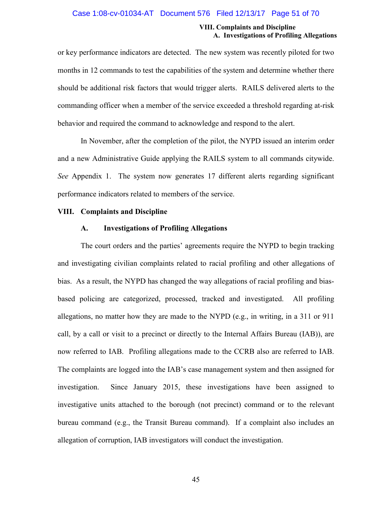#### Case 1:08-cv-01034-AT Document 576 Filed 12/13/17 Page 51 of 70

#### **VIII. Complaints and Discipline A. Investigations of Profiling Allegations**

or key performance indicators are detected. The new system was recently piloted for two months in 12 commands to test the capabilities of the system and determine whether there should be additional risk factors that would trigger alerts. RAILS delivered alerts to the commanding officer when a member of the service exceeded a threshold regarding at-risk behavior and required the command to acknowledge and respond to the alert.

In November, after the completion of the pilot, the NYPD issued an interim order and a new Administrative Guide applying the RAILS system to all commands citywide. *See* Appendix 1. The system now generates 17 different alerts regarding significant performance indicators related to members of the service.

#### **VIII. Complaints and Discipline**

#### **A. Investigations of Profiling Allegations**

The court orders and the parties' agreements require the NYPD to begin tracking and investigating civilian complaints related to racial profiling and other allegations of bias. As a result, the NYPD has changed the way allegations of racial profiling and biasbased policing are categorized, processed, tracked and investigated. All profiling allegations, no matter how they are made to the NYPD (e.g., in writing, in a 311 or 911 call, by a call or visit to a precinct or directly to the Internal Affairs Bureau (IAB)), are now referred to IAB. Profiling allegations made to the CCRB also are referred to IAB. The complaints are logged into the IAB's case management system and then assigned for investigation. Since January 2015, these investigations have been assigned to investigative units attached to the borough (not precinct) command or to the relevant bureau command (e.g., the Transit Bureau command). If a complaint also includes an allegation of corruption, IAB investigators will conduct the investigation.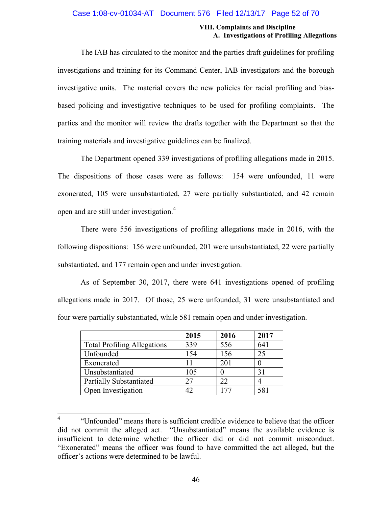#### Case 1:08-cv-01034-AT Document 576 Filed 12/13/17 Page 52 of 70

#### **VIII. Complaints and Discipline A. Investigations of Profiling Allegations**

The IAB has circulated to the monitor and the parties draft guidelines for profiling investigations and training for its Command Center, IAB investigators and the borough investigative units. The material covers the new policies for racial profiling and biasbased policing and investigative techniques to be used for profiling complaints. The parties and the monitor will review the drafts together with the Department so that the training materials and investigative guidelines can be finalized.

The Department opened 339 investigations of profiling allegations made in 2015. The dispositions of those cases were as follows: 154 were unfounded, 11 were exonerated, 105 were unsubstantiated, 27 were partially substantiated, and 42 remain open and are still under investigation.<sup>4</sup>

There were 556 investigations of profiling allegations made in 2016, with the following dispositions: 156 were unfounded, 201 were unsubstantiated, 22 were partially substantiated, and 177 remain open and under investigation.

As of September 30, 2017, there were 641 investigations opened of profiling allegations made in 2017. Of those, 25 were unfounded, 31 were unsubstantiated and four were partially substantiated, while 581 remain open and under investigation.

|                                    | 2015 | 2016 | 2017 |
|------------------------------------|------|------|------|
| <b>Total Profiling Allegations</b> | 339  | 556  | 641  |
| Unfounded                          | 154  | 156  | 25   |
| Exonerated                         |      | 201  |      |
| Unsubstantiated                    | 105  |      | 31   |
| <b>Partially Substantiated</b>     | 27   | 22   |      |
| Open Investigation                 | 42   | 177  | 581  |

<sup>4</sup> "Unfounded" means there is sufficient credible evidence to believe that the officer did not commit the alleged act. "Unsubstantiated" means the available evidence is insufficient to determine whether the officer did or did not commit misconduct. "Exonerated" means the officer was found to have committed the act alleged, but the officer's actions were determined to be lawful.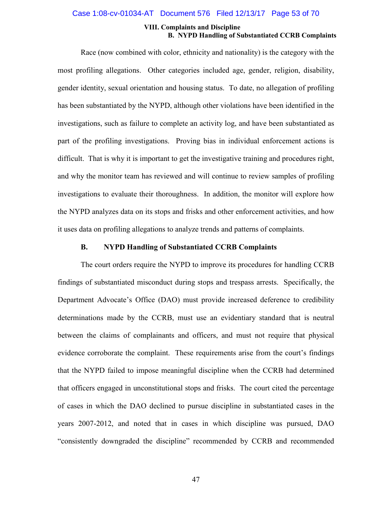#### Case 1:08-cv-01034-AT Document 576 Filed 12/13/17 Page 53 of 70

#### **VIII. Complaints and Discipline B. NYPD Handling of Substantiated CCRB Complaints**

Race (now combined with color, ethnicity and nationality) is the category with the most profiling allegations. Other categories included age, gender, religion, disability, gender identity, sexual orientation and housing status. To date, no allegation of profiling has been substantiated by the NYPD, although other violations have been identified in the investigations, such as failure to complete an activity log, and have been substantiated as part of the profiling investigations. Proving bias in individual enforcement actions is difficult. That is why it is important to get the investigative training and procedures right, and why the monitor team has reviewed and will continue to review samples of profiling investigations to evaluate their thoroughness. In addition, the monitor will explore how the NYPD analyzes data on its stops and frisks and other enforcement activities, and how it uses data on profiling allegations to analyze trends and patterns of complaints.

#### **B. NYPD Handling of Substantiated CCRB Complaints**

The court orders require the NYPD to improve its procedures for handling CCRB findings of substantiated misconduct during stops and trespass arrests. Specifically, the Department Advocate's Office (DAO) must provide increased deference to credibility determinations made by the CCRB, must use an evidentiary standard that is neutral between the claims of complainants and officers, and must not require that physical evidence corroborate the complaint. These requirements arise from the court's findings that the NYPD failed to impose meaningful discipline when the CCRB had determined that officers engaged in unconstitutional stops and frisks. The court cited the percentage of cases in which the DAO declined to pursue discipline in substantiated cases in the years 2007-2012, and noted that in cases in which discipline was pursued, DAO "consistently downgraded the discipline" recommended by CCRB and recommended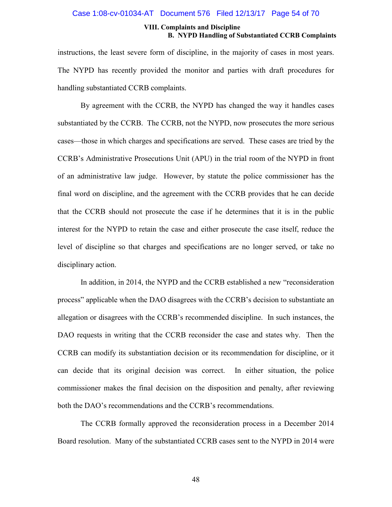#### Case 1:08-cv-01034-AT Document 576 Filed 12/13/17 Page 54 of 70

#### **VIII. Complaints and Discipline B. NYPD Handling of Substantiated CCRB Complaints**

instructions, the least severe form of discipline, in the majority of cases in most years. The NYPD has recently provided the monitor and parties with draft procedures for handling substantiated CCRB complaints.

By agreement with the CCRB, the NYPD has changed the way it handles cases substantiated by the CCRB. The CCRB, not the NYPD, now prosecutes the more serious cases—those in which charges and specifications are served. These cases are tried by the CCRB's Administrative Prosecutions Unit (APU) in the trial room of the NYPD in front of an administrative law judge. However, by statute the police commissioner has the final word on discipline, and the agreement with the CCRB provides that he can decide that the CCRB should not prosecute the case if he determines that it is in the public interest for the NYPD to retain the case and either prosecute the case itself, reduce the level of discipline so that charges and specifications are no longer served, or take no disciplinary action.

In addition, in 2014, the NYPD and the CCRB established a new "reconsideration process" applicable when the DAO disagrees with the CCRB's decision to substantiate an allegation or disagrees with the CCRB's recommended discipline. In such instances, the DAO requests in writing that the CCRB reconsider the case and states why. Then the CCRB can modify its substantiation decision or its recommendation for discipline, or it can decide that its original decision was correct. In either situation, the police commissioner makes the final decision on the disposition and penalty, after reviewing both the DAO's recommendations and the CCRB's recommendations.

The CCRB formally approved the reconsideration process in a December 2014 Board resolution. Many of the substantiated CCRB cases sent to the NYPD in 2014 were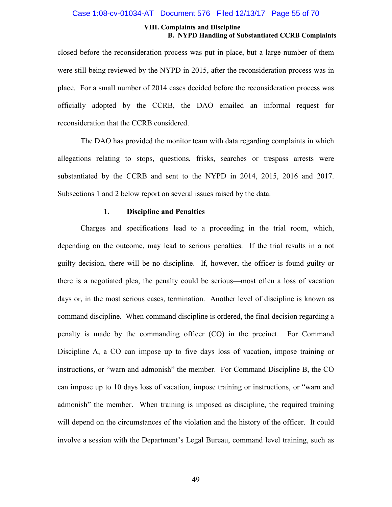#### Case 1:08-cv-01034-AT Document 576 Filed 12/13/17 Page 55 of 70

#### **VIII. Complaints and Discipline B. NYPD Handling of Substantiated CCRB Complaints**

closed before the reconsideration process was put in place, but a large number of them were still being reviewed by the NYPD in 2015, after the reconsideration process was in place. For a small number of 2014 cases decided before the reconsideration process was officially adopted by the CCRB, the DAO emailed an informal request for reconsideration that the CCRB considered.

The DAO has provided the monitor team with data regarding complaints in which allegations relating to stops, questions, frisks, searches or trespass arrests were substantiated by the CCRB and sent to the NYPD in 2014, 2015, 2016 and 2017. Subsections 1 and 2 below report on several issues raised by the data.

#### **1. Discipline and Penalties**

Charges and specifications lead to a proceeding in the trial room, which, depending on the outcome, may lead to serious penalties. If the trial results in a not guilty decision, there will be no discipline. If, however, the officer is found guilty or there is a negotiated plea, the penalty could be serious—most often a loss of vacation days or, in the most serious cases, termination. Another level of discipline is known as command discipline. When command discipline is ordered, the final decision regarding a penalty is made by the commanding officer (CO) in the precinct. For Command Discipline A, a CO can impose up to five days loss of vacation, impose training or instructions, or "warn and admonish" the member. For Command Discipline B, the CO can impose up to 10 days loss of vacation, impose training or instructions, or "warn and admonish" the member. When training is imposed as discipline, the required training will depend on the circumstances of the violation and the history of the officer. It could involve a session with the Department's Legal Bureau, command level training, such as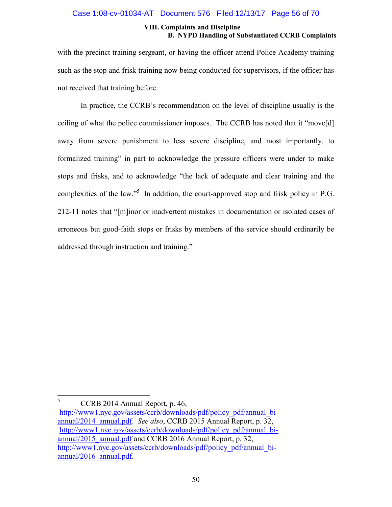#### Case 1:08-cv-01034-AT Document 576 Filed 12/13/17 Page 56 of 70

#### **VIII. Complaints and Discipline B. NYPD Handling of Substantiated CCRB Complaints**

with the precinct training sergeant, or having the officer attend Police Academy training such as the stop and frisk training now being conducted for supervisors, if the officer has not received that training before.

In practice, the CCRB's recommendation on the level of discipline usually is the ceiling of what the police commissioner imposes. The CCRB has noted that it "move[d] away from severe punishment to less severe discipline, and most importantly, to formalized training" in part to acknowledge the pressure officers were under to make stops and frisks, and to acknowledge "the lack of adequate and clear training and the complexities of the law."<sup>5</sup> In addition, the court-approved stop and frisk policy in P.G. 212-11 notes that "[m]inor or inadvertent mistakes in documentation or isolated cases of erroneous but good-faith stops or frisks by members of the service should ordinarily be addressed through instruction and training."

 $5$  CCRB 2014 Annual Report, p. 46,

http://www1.nyc.gov/assets/ccrb/downloads/pdf/policy\_pdf/annual\_biannual/2014\_annual.pdf. *See also*, CCRB 2015 Annual Report, p. 32, http://www1.nyc.gov/assets/ccrb/downloads/pdf/policy\_pdf/annual\_biannual/2015\_annual.pdf and CCRB 2016 Annual Report, p. 32, http://www1.nyc.gov/assets/ccrb/downloads/pdf/policy\_pdf/annual\_biannual/2016\_annual.pdf.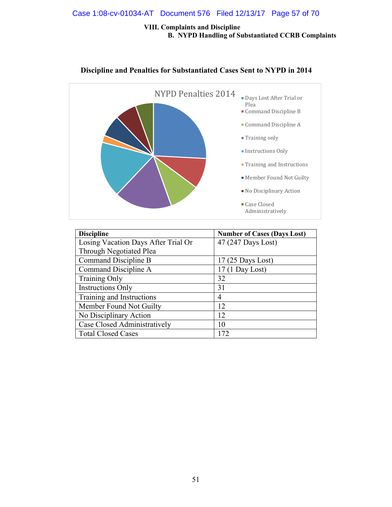#### Case 1:08-cv-01034-AT Document 576 Filed 12/13/17 Page 57 of 70

#### **VIII. Complaints and Discipline B. NYPD Handling of Substantiated CCRB Complaints**



#### **Discipline and Penalties for Substantiated Cases Sent to NYPD in 2014**

| <b>Discipline</b>                   | <b>Number of Cases (Days Lost)</b> |
|-------------------------------------|------------------------------------|
| Losing Vacation Days After Trial Or | 47 (247 Days Lost)                 |
| Through Negotiated Plea             |                                    |
| Command Discipline B                | $17(25$ Days Lost)                 |
| Command Discipline A                | $17(1$ Day Lost)                   |
| <b>Training Only</b>                | 32                                 |
| <b>Instructions Only</b>            | 31                                 |
| Training and Instructions           | $\overline{4}$                     |
| Member Found Not Guilty             | 12                                 |
| No Disciplinary Action              | 12                                 |
| Case Closed Administratively        | 10                                 |
| <b>Total Closed Cases</b>           | 172                                |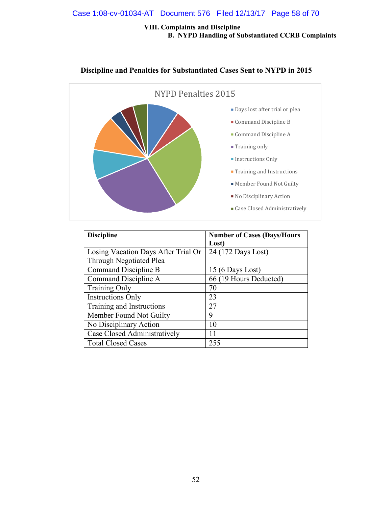#### Case 1:08-cv-01034-AT Document 576 Filed 12/13/17 Page 58 of 70

#### **VIII. Complaints and Discipline B. NYPD Handling of Substantiated CCRB Complaints**



#### **Discipline and Penalties for Substantiated Cases Sent to NYPD in 2015**

| <b>Discipline</b>                   | <b>Number of Cases (Days/Hours)</b> |
|-------------------------------------|-------------------------------------|
|                                     | Lost)                               |
| Losing Vacation Days After Trial Or | 24 (172 Days Lost)                  |
| Through Negotiated Plea             |                                     |
| Command Discipline B                | $15(6$ Days Lost)                   |
| Command Discipline A                | 66 (19 Hours Deducted)              |
| <b>Training Only</b>                | 70                                  |
| <b>Instructions Only</b>            | 23                                  |
| Training and Instructions           | 27                                  |
| Member Found Not Guilty             | 9                                   |
| No Disciplinary Action              | 10                                  |
| Case Closed Administratively        | 11                                  |
| <b>Total Closed Cases</b>           | 255                                 |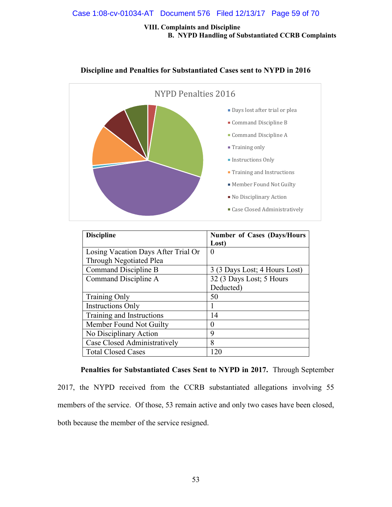#### Case 1:08-cv-01034-AT Document 576 Filed 12/13/17 Page 59 of 70

#### **VIII. Complaints and Discipline B. NYPD Handling of Substantiated CCRB Complaints**



#### **Discipline and Penalties for Substantiated Cases sent to NYPD in 2016**

| <b>Discipline</b>                   | <b>Number of Cases (Days/Hours)</b> |
|-------------------------------------|-------------------------------------|
|                                     | Lost)                               |
| Losing Vacation Days After Trial Or | $\theta$                            |
| Through Negotiated Plea             |                                     |
| Command Discipline B                | 3 (3 Days Lost; 4 Hours Lost)       |
| Command Discipline A                | 32 (3 Days Lost; 5 Hours            |
|                                     | Deducted)                           |
| <b>Training Only</b>                | 50                                  |
| <b>Instructions Only</b>            |                                     |
| Training and Instructions           | 14                                  |
| Member Found Not Guilty             | 0                                   |
| No Disciplinary Action              | 9                                   |
| Case Closed Administratively        | 8                                   |
| <b>Total Closed Cases</b>           | 120                                 |

**Penalties for Substantiated Cases Sent to NYPD in 2017.** Through September 2017, the NYPD received from the CCRB substantiated allegations involving 55 members of the service. Of those, 53 remain active and only two cases have been closed, both because the member of the service resigned.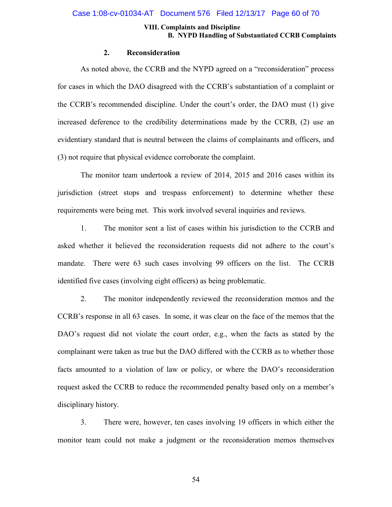#### Case 1:08-cv-01034-AT Document 576 Filed 12/13/17 Page 60 of 70

#### **VIII. Complaints and Discipline B. NYPD Handling of Substantiated CCRB Complaints**

#### **2. Reconsideration**

As noted above, the CCRB and the NYPD agreed on a "reconsideration" process for cases in which the DAO disagreed with the CCRB's substantiation of a complaint or the CCRB's recommended discipline. Under the court's order, the DAO must (1) give increased deference to the credibility determinations made by the CCRB, (2) use an evidentiary standard that is neutral between the claims of complainants and officers, and (3) not require that physical evidence corroborate the complaint.

The monitor team undertook a review of 2014, 2015 and 2016 cases within its jurisdiction (street stops and trespass enforcement) to determine whether these requirements were being met. This work involved several inquiries and reviews.

1. The monitor sent a list of cases within his jurisdiction to the CCRB and asked whether it believed the reconsideration requests did not adhere to the court's mandate. There were 63 such cases involving 99 officers on the list. The CCRB identified five cases (involving eight officers) as being problematic.

2. The monitor independently reviewed the reconsideration memos and the CCRB's response in all 63 cases. In some, it was clear on the face of the memos that the DAO's request did not violate the court order, e.g., when the facts as stated by the complainant were taken as true but the DAO differed with the CCRB as to whether those facts amounted to a violation of law or policy, or where the DAO's reconsideration request asked the CCRB to reduce the recommended penalty based only on a member's disciplinary history.

3. There were, however, ten cases involving 19 officers in which either the monitor team could not make a judgment or the reconsideration memos themselves

54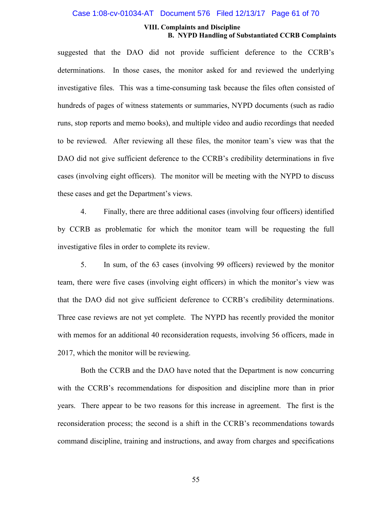#### Case 1:08-cv-01034-AT Document 576 Filed 12/13/17 Page 61 of 70

#### **VIII. Complaints and Discipline B. NYPD Handling of Substantiated CCRB Complaints**

suggested that the DAO did not provide sufficient deference to the CCRB's determinations. In those cases, the monitor asked for and reviewed the underlying investigative files. This was a time-consuming task because the files often consisted of hundreds of pages of witness statements or summaries, NYPD documents (such as radio runs, stop reports and memo books), and multiple video and audio recordings that needed to be reviewed. After reviewing all these files, the monitor team's view was that the DAO did not give sufficient deference to the CCRB's credibility determinations in five cases (involving eight officers). The monitor will be meeting with the NYPD to discuss these cases and get the Department's views.

4. Finally, there are three additional cases (involving four officers) identified by CCRB as problematic for which the monitor team will be requesting the full investigative files in order to complete its review.

5. In sum, of the 63 cases (involving 99 officers) reviewed by the monitor team, there were five cases (involving eight officers) in which the monitor's view was that the DAO did not give sufficient deference to CCRB's credibility determinations. Three case reviews are not yet complete. The NYPD has recently provided the monitor with memos for an additional 40 reconsideration requests, involving 56 officers, made in 2017, which the monitor will be reviewing.

Both the CCRB and the DAO have noted that the Department is now concurring with the CCRB's recommendations for disposition and discipline more than in prior years. There appear to be two reasons for this increase in agreement. The first is the reconsideration process; the second is a shift in the CCRB's recommendations towards command discipline, training and instructions, and away from charges and specifications

55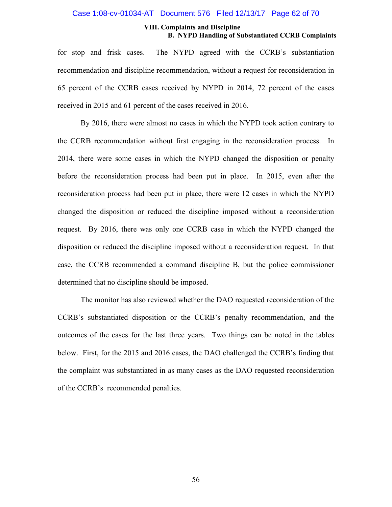#### Case 1:08-cv-01034-AT Document 576 Filed 12/13/17 Page 62 of 70

#### **VIII. Complaints and Discipline B. NYPD Handling of Substantiated CCRB Complaints**

for stop and frisk cases. The NYPD agreed with the CCRB's substantiation recommendation and discipline recommendation, without a request for reconsideration in 65 percent of the CCRB cases received by NYPD in 2014, 72 percent of the cases received in 2015 and 61 percent of the cases received in 2016.

By 2016, there were almost no cases in which the NYPD took action contrary to the CCRB recommendation without first engaging in the reconsideration process. In 2014, there were some cases in which the NYPD changed the disposition or penalty before the reconsideration process had been put in place. In 2015, even after the reconsideration process had been put in place, there were 12 cases in which the NYPD changed the disposition or reduced the discipline imposed without a reconsideration request. By 2016, there was only one CCRB case in which the NYPD changed the disposition or reduced the discipline imposed without a reconsideration request. In that case, the CCRB recommended a command discipline B, but the police commissioner determined that no discipline should be imposed.

The monitor has also reviewed whether the DAO requested reconsideration of the CCRB's substantiated disposition or the CCRB's penalty recommendation, and the outcomes of the cases for the last three years. Two things can be noted in the tables below. First, for the 2015 and 2016 cases, the DAO challenged the CCRB's finding that the complaint was substantiated in as many cases as the DAO requested reconsideration of the CCRB's recommended penalties.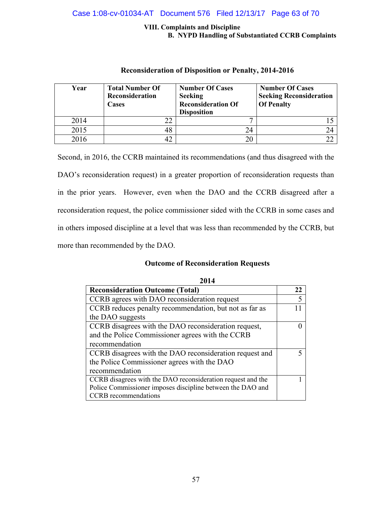#### Case 1:08-cv-01034-AT Document 576 Filed 12/13/17 Page 63 of 70

#### **VIII. Complaints and Discipline B. NYPD Handling of Substantiated CCRB Complaints**

| Year | <b>Total Number Of</b><br>Reconsideration<br>Cases | <b>Number Of Cases</b><br><b>Seeking</b><br><b>Reconsideration Of</b><br><b>Disposition</b> | <b>Number Of Cases</b><br><b>Seeking Reconsideration</b><br><b>Of Penalty</b> |
|------|----------------------------------------------------|---------------------------------------------------------------------------------------------|-------------------------------------------------------------------------------|
| 2014 | 22                                                 | −                                                                                           |                                                                               |
| 2015 | 48                                                 | 24                                                                                          | 24                                                                            |
| 2016 | 42                                                 |                                                                                             | າາ                                                                            |

#### **Reconsideration of Disposition or Penalty, 2014-2016**

Second, in 2016, the CCRB maintained its recommendations (and thus disagreed with the DAO's reconsideration request) in a greater proportion of reconsideration requests than in the prior years. However, even when the DAO and the CCRB disagreed after a reconsideration request, the police commissioner sided with the CCRB in some cases and in others imposed discipline at a level that was less than recommended by the CCRB, but more than recommended by the DAO.

#### **Outcome of Reconsideration Requests**

| 2014                                                        |  |  |
|-------------------------------------------------------------|--|--|
| <b>Reconsideration Outcome (Total)</b>                      |  |  |
| CCRB agrees with DAO reconsideration request                |  |  |
| CCRB reduces penalty recommendation, but not as far as      |  |  |
| the DAO suggests                                            |  |  |
| CCRB disagrees with the DAO reconsideration request,        |  |  |
| and the Police Commissioner agrees with the CCRB            |  |  |
| recommendation                                              |  |  |
| CCRB disagrees with the DAO reconsideration request and     |  |  |
| the Police Commissioner agrees with the DAO                 |  |  |
| recommendation                                              |  |  |
| CCRB disagrees with the DAO reconsideration request and the |  |  |
| Police Commissioner imposes discipline between the DAO and  |  |  |
| <b>CCRB</b> recommendations                                 |  |  |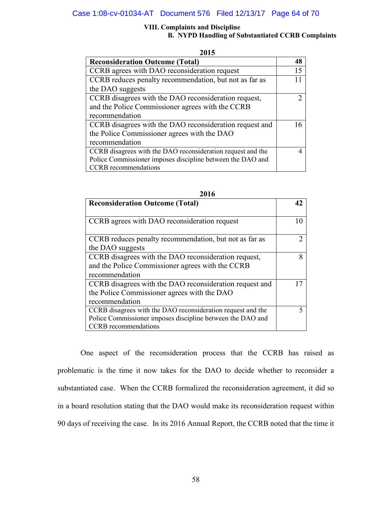#### Case 1:08-cv-01034-AT Document 576 Filed 12/13/17 Page 64 of 70

#### **VIII. Complaints and Discipline B. NYPD Handling of Substantiated CCRB Complaints**

| 2015                                                        |   |
|-------------------------------------------------------------|---|
| <b>Reconsideration Outcome (Total)</b>                      |   |
| CCRB agrees with DAO reconsideration request                |   |
| CCRB reduces penalty recommendation, but not as far as      |   |
| the DAO suggests                                            |   |
| CCRB disagrees with the DAO reconsideration request,        |   |
| and the Police Commissioner agrees with the CCRB            |   |
| recommendation                                              |   |
| CCRB disagrees with the DAO reconsideration request and     |   |
| the Police Commissioner agrees with the DAO                 |   |
| recommendation                                              |   |
| CCRB disagrees with the DAO reconsideration request and the | 4 |
| Police Commissioner imposes discipline between the DAO and  |   |
| <b>CCRB</b> recommendations                                 |   |

| 2016                                                        |   |  |
|-------------------------------------------------------------|---|--|
| <b>Reconsideration Outcome (Total)</b>                      |   |  |
|                                                             |   |  |
| CCRB agrees with DAO reconsideration request                |   |  |
|                                                             |   |  |
| CCRB reduces penalty recommendation, but not as far as      |   |  |
| the DAO suggests                                            |   |  |
| CCRB disagrees with the DAO reconsideration request,        | 8 |  |
| and the Police Commissioner agrees with the CCRB            |   |  |
| recommendation                                              |   |  |
| CCRB disagrees with the DAO reconsideration request and     |   |  |
| the Police Commissioner agrees with the DAO                 |   |  |
| recommendation                                              |   |  |
| CCRB disagrees with the DAO reconsideration request and the |   |  |
| Police Commissioner imposes discipline between the DAO and  |   |  |
| <b>CCRB</b> recommendations                                 |   |  |

One aspect of the reconsideration process that the CCRB has raised as problematic is the time it now takes for the DAO to decide whether to reconsider a substantiated case. When the CCRB formalized the reconsideration agreement, it did so in a board resolution stating that the DAO would make its reconsideration request within 90 days of receiving the case. In its 2016 Annual Report, the CCRB noted that the time it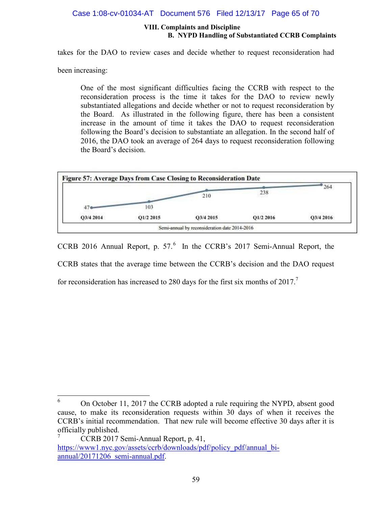#### Case 1:08-cv-01034-AT Document 576 Filed 12/13/17 Page 65 of 70

#### **VIII. Complaints and Discipline B. NYPD Handling of Substantiated CCRB Complaints**

takes for the DAO to review cases and decide whether to request reconsideration had

been increasing:

One of the most significant difficulties facing the CCRB with respect to the reconsideration process is the time it takes for the DAO to review newly substantiated allegations and decide whether or not to request reconsideration by the Board. As illustrated in the following figure, there has been a consistent increase in the amount of time it takes the DAO to request reconsideration following the Board's decision to substantiate an allegation. In the second half of 2016, the DAO took an average of 264 days to request reconsideration following the Board's decision.



CCRB 2016 Annual Report, p.  $57<sup>6</sup>$  In the CCRB's 2017 Semi-Annual Report, the CCRB states that the average time between the CCRB's decision and the DAO request for reconsideration has increased to 280 days for the first six months of  $2017$ .<sup>7</sup>

<sup>&</sup>lt;sup>6</sup> On October 11, 2017 the CCRB adopted a rule requiring the NYPD, absent good cause, to make its reconsideration requests within 30 days of when it receives the CCRB's initial recommendation. That new rule will become effective 30 days after it is officially published.

<sup>7</sup> CCRB 2017 Semi-Annual Report, p. 41, https://www1.nyc.gov/assets/ccrb/downloads/pdf/policy\_pdf/annual\_biannual/20171206\_semi-annual.pdf.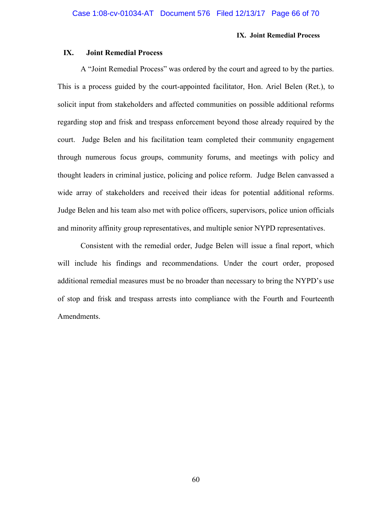#### **IX. Joint Remedial Process**

#### **IX. Joint Remedial Process**

A "Joint Remedial Process" was ordered by the court and agreed to by the parties. This is a process guided by the court-appointed facilitator, Hon. Ariel Belen (Ret.), to solicit input from stakeholders and affected communities on possible additional reforms regarding stop and frisk and trespass enforcement beyond those already required by the court. Judge Belen and his facilitation team completed their community engagement through numerous focus groups, community forums, and meetings with policy and thought leaders in criminal justice, policing and police reform. Judge Belen canvassed a wide array of stakeholders and received their ideas for potential additional reforms. Judge Belen and his team also met with police officers, supervisors, police union officials and minority affinity group representatives, and multiple senior NYPD representatives.

Consistent with the remedial order, Judge Belen will issue a final report, which will include his findings and recommendations. Under the court order, proposed additional remedial measures must be no broader than necessary to bring the NYPD's use of stop and frisk and trespass arrests into compliance with the Fourth and Fourteenth Amendments.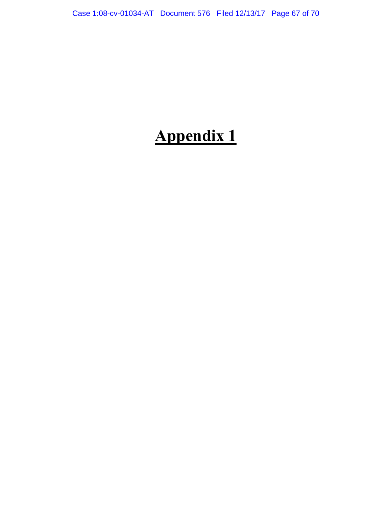## **Appendix 1**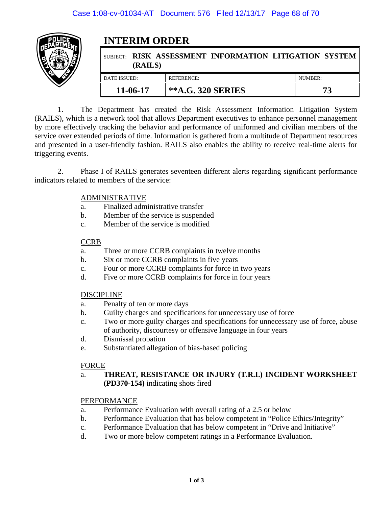

## **INTERIM ORDER**

| (RAILS)      | SUBJECT: RISK ASSESSMENT INFORMATION LITIGATION SYSTEM |         |
|--------------|--------------------------------------------------------|---------|
| DATE ISSUED: | REFERENCE:                                             | NUMBER: |
| $11-06-17$   | <b>**A.G. 320 SERIES</b>                               |         |

1. The Department has created the Risk Assessment Information Litigation System (RAILS), which is a network tool that allows Department executives to enhance personnel management by more effectively tracking the behavior and performance of uniformed and civilian members of the service over extended periods of time. Information is gathered from a multitude of Department resources and presented in a user-friendly fashion. RAILS also enables the ability to receive real-time alerts for triggering events.

2. Phase I of RAILS generates seventeen different alerts regarding significant performance indicators related to members of the service:

#### ADMINISTRATIVE

- a. Finalized administrative transfer
- b. Member of the service is suspended
- c. Member of the service is modified

#### **CCRB**

- a. Three or more CCRB complaints in twelve months
- b. Six or more CCRB complaints in five years
- c. Four or more CCRB complaints for force in two years
- d. Five or more CCRB complaints for force in four years

#### DISCIPLINE

- a. Penalty of ten or more days
- b. Guilty charges and specifications for unnecessary use of force
- c. Two or more guilty charges and specifications for unnecessary use of force, abuse of authority, discourtesy or offensive language in four years
- d. Dismissal probation
- e. Substantiated allegation of bias-based policing

#### FORCE

a. **THREAT, RESISTANCE OR INJURY (T.R.I.) INCIDENT WORKSHEET (PD370-154)** indicating shots fired

#### PERFORMANCE

- a. Performance Evaluation with overall rating of a 2.5 or below
- b. Performance Evaluation that has below competent in "Police Ethics/Integrity"
- c. Performance Evaluation that has below competent in "Drive and Initiative"
- d. Two or more below competent ratings in a Performance Evaluation.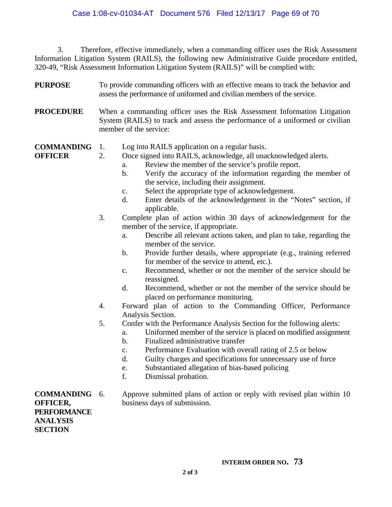#### Case 1:08-cv-01034-AT Document 576 Filed 12/13/17 Page 69 of 70

3. Therefore, effective immediately, when a commanding officer uses the Risk Assessment Information Litigation System (RAILS), the following new Administrative Guide procedure entitled, 320-49, "Risk Assessment Information Litigation System (RAILS)" will be complied with:

- **PURPOSE**  To provide commanding officers with an effective means to track the behavior and assess the performance of uniformed and civilian members of the service.
- **PROCEDURE**  When a commanding officer uses the Risk Assessment Information Litigation System (RAILS) to track and assess the performance of a uniformed or civilian member of the service:
- **COMMANDING**  1. Log into RAILS application on a regular basis.

**OFFICER** 

- 
- 2. Once signed into RAILS, acknowledge, all unacknowledged alerts.
	- a. Review the member of the service's profile report.
	- b. Verify the accuracy of the information regarding the member of the service, including their assignment.
	- c. Select the appropriate type of acknowledgement.
	- d. Enter details of the acknowledgement in the "Notes" section, if applicable.
- 3. Complete plan of action within 30 days of acknowledgement for the member of the service, if appropriate.
	- a. Describe all relevant actions taken, and plan to take, regarding the member of the service.
	- b. Provide further details, where appropriate (e.g., training referred for member of the service to attend, etc.).
	- c. Recommend, whether or not the member of the service should be reassigned.
	- d. Recommend, whether or not the member of the service should be placed on performance monitoring.
- 4. Forward plan of action to the Commanding Officer, Performance Analysis Section.
- 5. Confer with the Performance Analysis Section for the following alerts:
	- a. Uniformed member of the service is placed on modified assignment
		- b. Finalized administrative transfer
	- c. Performance Evaluation with overall rating of 2.5 or below
	- d. Guilty charges and specifications for unnecessary use of force
	- e. Substantiated allegation of bias-based policing
	- f. Dismissal probation.

**COMMANDING OFFICER, PERFORMANCE ANALYSIS SECTION** 

Approve submitted plans of action or reply with revised plan within 10 business days of submission.